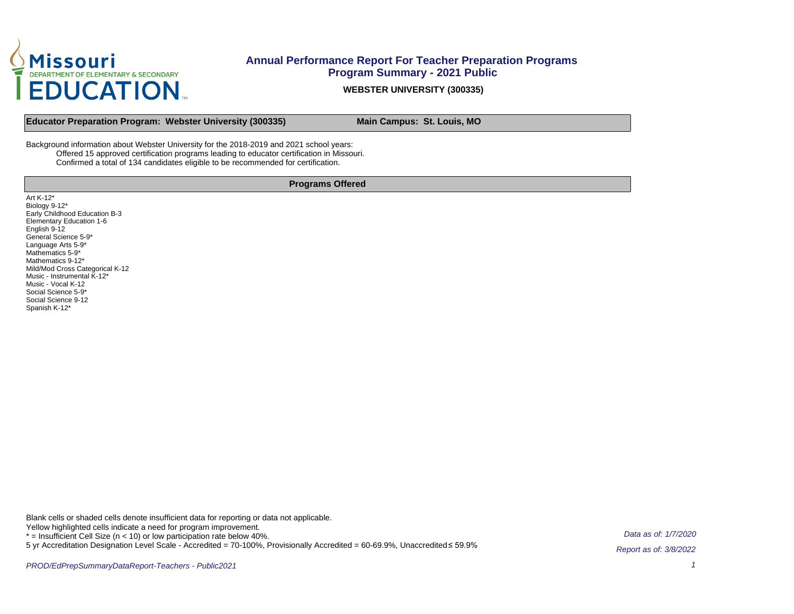

**WEBSTER UNIVERSITY (300335)**

**Educator Preparation Program: Webster University (300335) Main Campus: St. Louis, MO** 

Background information about Webster University for the 2018-2019 and 2021 school years: Offered 15 approved certification programs leading to educator certification in Missouri. Confirmed a total of 134 candidates eligible to be recommended for certification.

#### **Programs Offered**

| Art K-12*<br>Biology 9-12*<br>Early Childhood Education B-3 |
|-------------------------------------------------------------|
| Elementary Education 1-6                                    |
|                                                             |
| English 9-12                                                |
| General Science 5-9*                                        |
| Language Arts 5-9*                                          |
| Mathematics 5-9*                                            |
| Mathematics 9-12*                                           |
| Mild/Mod Cross Categorical K-12                             |
| Music - Instrumental K-12*                                  |
| Music - Vocal K-12                                          |
| Social Science 5-9*                                         |
| Social Science 9-12                                         |
| Spanish K-12*                                               |
|                                                             |

Blank cells or shaded cells denote insufficient data for reporting or data not applicable.

Yellow highlighted cells indicate a need for program improvement.

\* = Insufficient Cell Size (n < 10) or low participation rate below 40%.

5 yr Accreditation Designation Level Scale - Accredited = 70-100%, Provisionally Accredited = 60-69.9%, Unaccredited ≤ 59.9%

Data as of: 1/7/2020 Report as of: 3/8/2022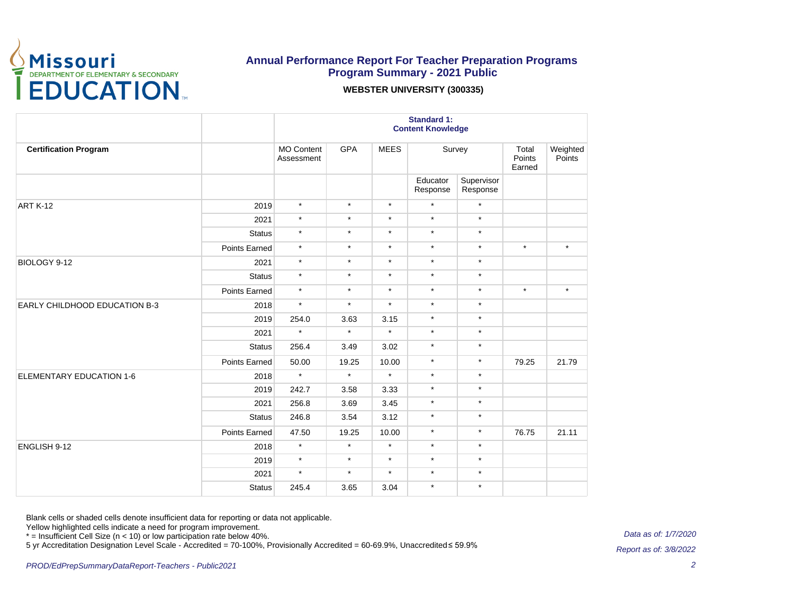

#### **WEBSTER UNIVERSITY (300335)**

|                               |               |                                 |            |             | <b>Standard 1:</b><br><b>Content Knowledge</b> |                        |                           |                    |
|-------------------------------|---------------|---------------------------------|------------|-------------|------------------------------------------------|------------------------|---------------------------|--------------------|
| <b>Certification Program</b>  |               | <b>MO Content</b><br>Assessment | <b>GPA</b> | <b>MEES</b> | Survey                                         |                        | Total<br>Points<br>Earned | Weighted<br>Points |
|                               |               |                                 |            |             | Educator<br>Response                           | Supervisor<br>Response |                           |                    |
| ART K-12                      | 2019          | $\star$                         | $\star$    | $\star$     | $\star$                                        | $\star$                |                           |                    |
|                               | 2021          | $\star$                         | $\star$    | $\star$     | $\star$                                        | $\star$                |                           |                    |
|                               | <b>Status</b> | $\star$                         | $\star$    | $\star$     | $\star$                                        | $\star$                |                           |                    |
|                               | Points Earned | $\star$                         | $\star$    | $\star$     | $\star$                                        | $\star$                | $\star$                   | $\star$            |
| BIOLOGY 9-12                  | 2021          | $\star$                         | $^\star$   | $^\star$    | $\star$                                        | $\star$                |                           |                    |
|                               | <b>Status</b> | $\star$                         | $\star$    | $^\star$    | $\star$                                        | $\star$                |                           |                    |
|                               | Points Earned | $\star$                         | $\star$    | $\star$     | $\star$                                        | $\star$                | $\star$                   | $\star$            |
| EARLY CHILDHOOD EDUCATION B-3 | 2018          | $\star$                         | $\star$    | $\star$     | $\star$                                        | $\star$                |                           |                    |
|                               | 2019          | 254.0                           | 3.63       | 3.15        | $\star$                                        | $\star$                |                           |                    |
|                               | 2021          | $\star$                         | $\star$    | $\star$     | $\star$                                        | $\star$                |                           |                    |
|                               | <b>Status</b> | 256.4                           | 3.49       | 3.02        | $\star$                                        | $\star$                |                           |                    |
|                               | Points Earned | 50.00                           | 19.25      | 10.00       | $\star$                                        | $\star$                | 79.25                     | 21.79              |
| ELEMENTARY EDUCATION 1-6      | 2018          | $\star$                         | $\star$    | $\star$     | $\star$                                        | $\star$                |                           |                    |
|                               | 2019          | 242.7                           | 3.58       | 3.33        | $\star$                                        | $\star$                |                           |                    |
|                               | 2021          | 256.8                           | 3.69       | 3.45        | $\star$                                        | $\star$                |                           |                    |
|                               | Status        | 246.8                           | 3.54       | 3.12        | $\star$                                        | $\star$                |                           |                    |
|                               | Points Earned | 47.50                           | 19.25      | 10.00       | $\star$                                        | $\star$                | 76.75                     | 21.11              |
| ENGLISH 9-12                  | 2018          | $\star$                         | $\star$    | $\star$     | $\star$                                        | $\star$                |                           |                    |
|                               | 2019          | $\star$                         | $\star$    | $^\star$    | $\star$                                        | $\star$                |                           |                    |
|                               | 2021          | $\star$                         | $\star$    | $\star$     | $\star$                                        | $\star$                |                           |                    |
|                               | <b>Status</b> | 245.4                           | 3.65       | 3.04        | $\star$                                        | $\star$                |                           |                    |

Blank cells or shaded cells denote insufficient data for reporting or data not applicable.

Yellow highlighted cells indicate a need for program improvement.

\* = Insufficient Cell Size (n < 10) or low participation rate below 40%.

5 yr Accreditation Designation Level Scale - Accredited = 70-100%, Provisionally Accredited = 60-69.9%, Unaccredited ≤ 59.9%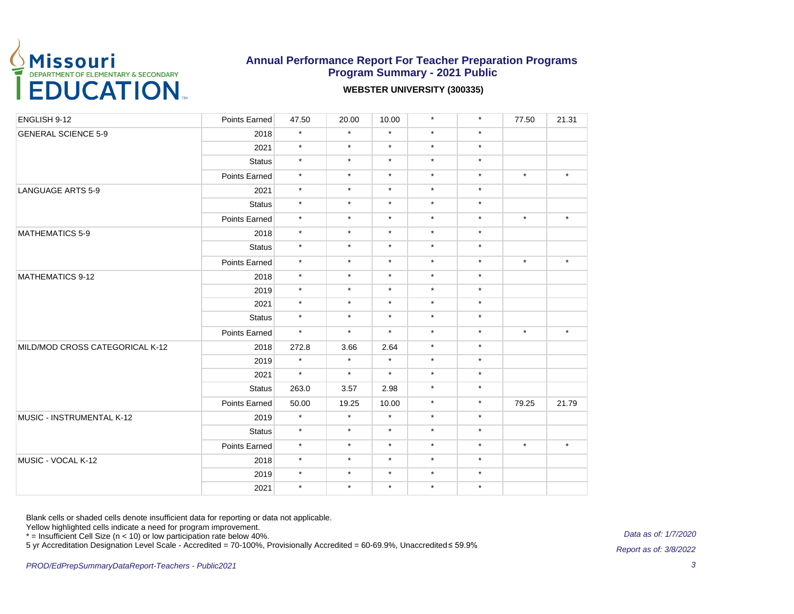

#### **WEBSTER UNIVERSITY (300335)**

| ENGLISH 9-12                    | Points Earned | 47.50   | 20.00   | 10.00   | $\star$ | $\star$ | 77.50   | 21.31   |
|---------------------------------|---------------|---------|---------|---------|---------|---------|---------|---------|
| <b>GENERAL SCIENCE 5-9</b>      | 2018          | $\star$ | $\star$ | $\star$ | $\star$ | $\star$ |         |         |
|                                 | 2021          | $\star$ | $\star$ | $\star$ | $\star$ | $\star$ |         |         |
|                                 | <b>Status</b> | $\star$ | $\star$ | $\star$ | $\star$ | $\star$ |         |         |
|                                 | Points Earned | $\star$ | $\star$ | $\star$ | $\star$ | $\star$ | $\star$ | $\star$ |
| <b>LANGUAGE ARTS 5-9</b>        | 2021          | $\star$ | $\star$ | $\star$ | $\star$ | $\star$ |         |         |
|                                 | <b>Status</b> | $\star$ | $\star$ | $\star$ | $\star$ | $\star$ |         |         |
|                                 | Points Earned | $\star$ | $\star$ | $\star$ | $\star$ | $\star$ | $\star$ | $\star$ |
| <b>MATHEMATICS 5-9</b>          | 2018          | $\star$ | $\star$ | $\star$ | $\star$ | $\star$ |         |         |
|                                 | <b>Status</b> | $\star$ | $\star$ | $\star$ | $\star$ | $\star$ |         |         |
|                                 | Points Earned | $\star$ | $\star$ | $\star$ | $\star$ | $\star$ | $\star$ | $\star$ |
| <b>MATHEMATICS 9-12</b>         | 2018          | $\star$ | $\star$ | $\star$ | $\star$ | $\star$ |         |         |
|                                 | 2019          | $\star$ | $\star$ | $\star$ | $\star$ | $\star$ |         |         |
|                                 | 2021          | $\star$ | $\star$ | $\star$ | $\star$ | $\star$ |         |         |
|                                 | <b>Status</b> | $\star$ | $\star$ | $\star$ | $\star$ | $\star$ |         |         |
|                                 | Points Earned | $\star$ | $\star$ | $\star$ | $\star$ | $\star$ | $\star$ | $\star$ |
| MILD/MOD CROSS CATEGORICAL K-12 | 2018          | 272.8   | 3.66    | 2.64    | $\star$ | $\star$ |         |         |
|                                 | 2019          | $\star$ | $\star$ | $\star$ | $\star$ | $\star$ |         |         |
|                                 | 2021          | $\star$ | $\star$ | $\star$ | $\star$ | $\star$ |         |         |
|                                 | <b>Status</b> | 263.0   | 3.57    | 2.98    | $\star$ | $\star$ |         |         |
|                                 | Points Earned | 50.00   | 19.25   | 10.00   | $\star$ | $\star$ | 79.25   | 21.79   |
| MUSIC - INSTRUMENTAL K-12       | 2019          | $\star$ | $\star$ | $\star$ | $\star$ | $\star$ |         |         |
|                                 | <b>Status</b> | $\star$ | $\star$ | $\star$ | $\star$ | $\star$ |         |         |
|                                 | Points Earned | $\star$ | $\star$ | $\star$ | $\star$ | $\star$ | $\star$ | $\star$ |
| MUSIC - VOCAL K-12              | 2018          | $\star$ | $\star$ | $\star$ | $\star$ | $\star$ |         |         |
|                                 | 2019          | $\star$ | $\star$ | $\star$ | $\star$ | $\star$ |         |         |
|                                 | 2021          | $\star$ | $\star$ | $\star$ | $\star$ | $\star$ |         |         |

Blank cells or shaded cells denote insufficient data for reporting or data not applicable.

Yellow highlighted cells indicate a need for program improvement.

\* = Insufficient Cell Size (n < 10) or low participation rate below 40%.

5 yr Accreditation Designation Level Scale - Accredited = 70-100%, Provisionally Accredited = 60-69.9%, Unaccredited ≤ 59.9%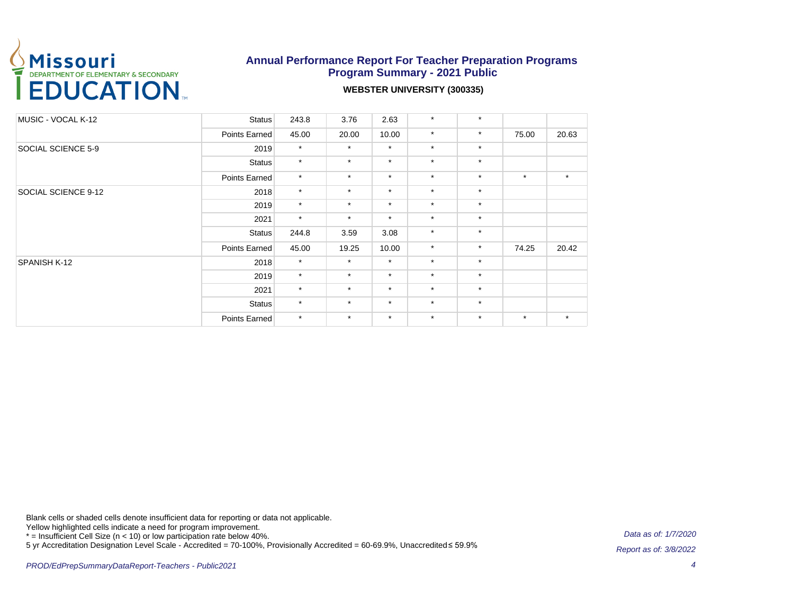

#### **WEBSTER UNIVERSITY (300335)**

| MUSIC - VOCAL K-12  | Status        | 243.8   | 3.76    | 2.63    | $\star$ | $\star$ |         |         |
|---------------------|---------------|---------|---------|---------|---------|---------|---------|---------|
|                     | Points Earned | 45.00   | 20.00   | 10.00   | $\star$ | $\star$ | 75.00   | 20.63   |
| SOCIAL SCIENCE 5-9  | 2019          | $\star$ | $\star$ | $\star$ | $\star$ | $\star$ |         |         |
|                     | <b>Status</b> | $\star$ | $\star$ | $\star$ | $\star$ | $\star$ |         |         |
|                     | Points Earned | $\star$ | $\star$ | $\star$ | $\star$ | $\star$ | $\star$ | $\star$ |
| SOCIAL SCIENCE 9-12 | 2018          | $\star$ | $\star$ | $\star$ | $\star$ | $\star$ |         |         |
|                     | 2019          | $\star$ | $\star$ | $\star$ | $\star$ | $\star$ |         |         |
|                     | 2021          | $\star$ | $\star$ | $\star$ | $\star$ | $\star$ |         |         |
|                     | <b>Status</b> | 244.8   | 3.59    | 3.08    | $\star$ | $\star$ |         |         |
|                     | Points Earned | 45.00   | 19.25   | 10.00   | $\star$ | $\star$ | 74.25   | 20.42   |
| SPANISH K-12        | 2018          | $\star$ | $\star$ | $\star$ | $\star$ | $\star$ |         |         |
|                     | 2019          | $\star$ | $\star$ | $\star$ | $\star$ | $\star$ |         |         |
|                     | 2021          | $\star$ | $\star$ | $\star$ | $\star$ | $\star$ |         |         |
|                     | <b>Status</b> | $\star$ | $\star$ | $\star$ | $\star$ | $\star$ |         |         |
|                     | Points Earned | $\star$ | $\star$ | $\star$ | $\star$ | $\star$ | $\star$ | $\star$ |

Blank cells or shaded cells denote insufficient data for reporting or data not applicable.

Yellow highlighted cells indicate a need for program improvement.

\* = Insufficient Cell Size (n < 10) or low participation rate below 40%.

5 yr Accreditation Designation Level Scale - Accredited = 70-100%, Provisionally Accredited = 60-69.9%, Unaccredited ≤ 59.9%

Data as of: 1/7/2020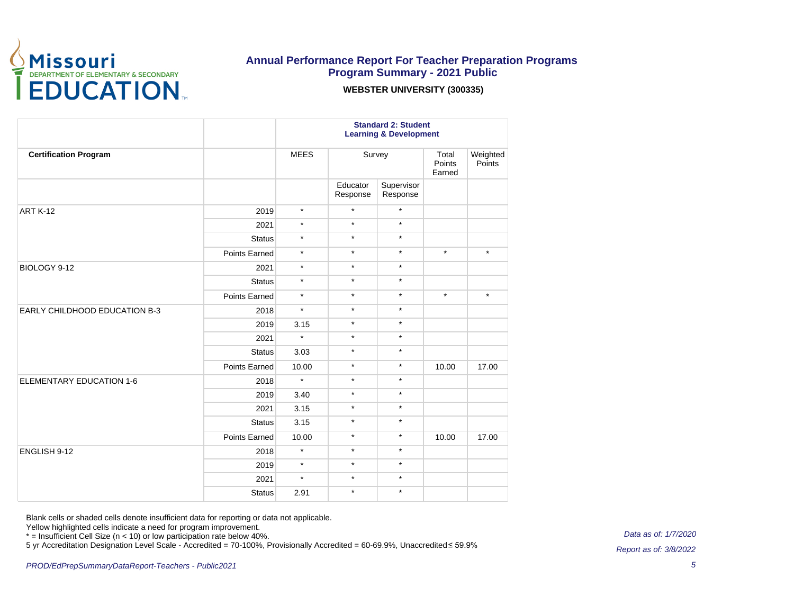

#### **WEBSTER UNIVERSITY (300335)**

| <b>Certification Program</b>    |               |             |                      | <b>Standard 2: Student</b><br><b>Learning &amp; Development</b> |                                             |                    |  |  |
|---------------------------------|---------------|-------------|----------------------|-----------------------------------------------------------------|---------------------------------------------|--------------------|--|--|
|                                 |               | <b>MEES</b> |                      | Survey                                                          |                                             | Weighted<br>Points |  |  |
|                                 |               |             | Educator<br>Response | Supervisor<br>Response                                          |                                             |                    |  |  |
| ART K-12                        | 2019          | $\star$     | $\star$              | $\star$                                                         |                                             |                    |  |  |
|                                 | 2021          | $\star$     | $\star$              | $\star$                                                         |                                             |                    |  |  |
|                                 | <b>Status</b> | $\star$     | $\star$              | $\star$                                                         |                                             |                    |  |  |
|                                 | Points Earned | $\star$     | $\star$              | $\star$                                                         | $\star$                                     | $\star$            |  |  |
| BIOLOGY 9-12                    | 2021          | $\star$     | $\star$              | $\star$                                                         |                                             |                    |  |  |
|                                 | <b>Status</b> | $\star$     | $\star$              | $\star$                                                         |                                             |                    |  |  |
|                                 | Points Earned | $\star$     | $\star$              | $\star$                                                         | $\star$                                     | $\star$            |  |  |
| EARLY CHILDHOOD EDUCATION B-3   | 2018          | $\star$     | $\star$              | $\star$                                                         |                                             |                    |  |  |
|                                 | 2019          | 3.15        | $\star$              | $\star$                                                         |                                             |                    |  |  |
|                                 | 2021          | $\star$     | $\star$              | $\star$                                                         |                                             |                    |  |  |
|                                 | <b>Status</b> | 3.03        | $\star$              | $\star$                                                         |                                             |                    |  |  |
|                                 | Points Earned | 10.00       | $\star$              | $\star$                                                         | Total<br>Points<br>Earned<br>10.00<br>10.00 | 17.00              |  |  |
| <b>ELEMENTARY EDUCATION 1-6</b> | 2018          | $\star$     | $\star$              | $\star$                                                         |                                             |                    |  |  |
|                                 | 2019          | 3.40        | $\star$              | $\star$                                                         |                                             |                    |  |  |
|                                 | 2021          | 3.15        | $\star$              | $\star$                                                         |                                             |                    |  |  |
|                                 | <b>Status</b> | 3.15        | $\star$              | $\star$                                                         |                                             |                    |  |  |
|                                 | Points Earned | 10.00       | $\star$              | $\star$                                                         |                                             | 17.00              |  |  |
| ENGLISH 9-12                    | 2018          | $\star$     | $\star$              | $\star$                                                         |                                             |                    |  |  |
|                                 | 2019          | $\star$     | $\star$              | $\star$                                                         |                                             |                    |  |  |
|                                 | 2021          | $\star$     | $\star$              | $\star$                                                         |                                             |                    |  |  |
|                                 | <b>Status</b> | 2.91        | $\star$              | $\star$                                                         |                                             |                    |  |  |

Blank cells or shaded cells denote insufficient data for reporting or data not applicable.

Yellow highlighted cells indicate a need for program improvement.

\* = Insufficient Cell Size (n < 10) or low participation rate below 40%.

5 yr Accreditation Designation Level Scale - Accredited = 70-100%, Provisionally Accredited = 60-69.9%, Unaccredited ≤ 59.9%

Data as of: 1/7/2020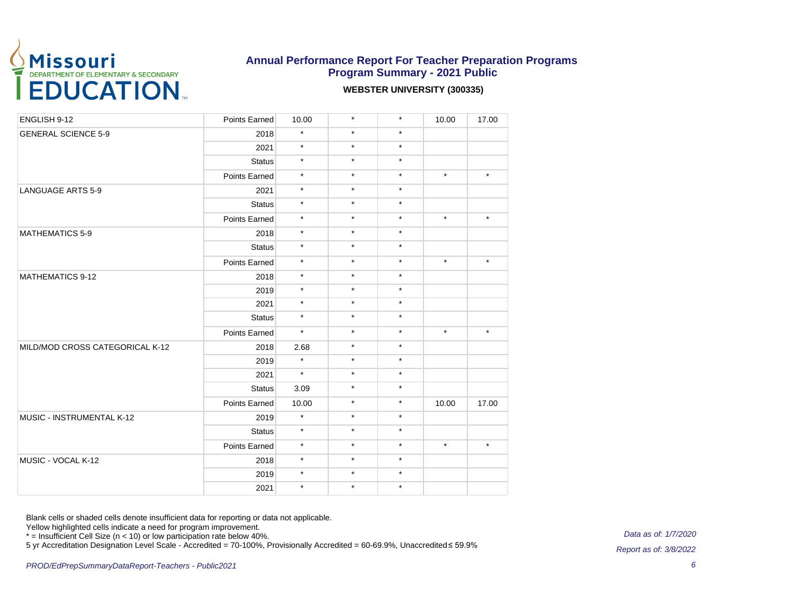

#### **WEBSTER UNIVERSITY (300335)**

| ENGLISH 9-12                    | Points Earned | 10.00   | $\star$ | $\star$ | 10.00                                                        | 17.00   |
|---------------------------------|---------------|---------|---------|---------|--------------------------------------------------------------|---------|
| <b>GENERAL SCIENCE 5-9</b>      | 2018          | $\star$ | $\star$ | $\star$ |                                                              |         |
|                                 | 2021          | $\star$ | $\star$ | $\star$ |                                                              |         |
|                                 | <b>Status</b> | $\star$ | $\star$ | $\star$ |                                                              |         |
|                                 | Points Earned | $\star$ | $\star$ | $\star$ | $\star$<br>$\star$<br>$\star$<br>$\star$<br>10.00<br>$\star$ | $\star$ |
| <b>LANGUAGE ARTS 5-9</b>        | 2021          | $\star$ | $\star$ | $\star$ |                                                              |         |
|                                 | <b>Status</b> | $\star$ | $\star$ | $\star$ |                                                              |         |
|                                 | Points Earned | $\star$ | $\star$ | $\star$ |                                                              | $\star$ |
| <b>MATHEMATICS 5-9</b>          | 2018          | $\star$ | $\star$ | $\star$ |                                                              |         |
|                                 | <b>Status</b> | $\star$ | $\star$ | $\star$ |                                                              |         |
|                                 | Points Earned | $\star$ | $\star$ | $\star$ |                                                              | $\star$ |
| <b>MATHEMATICS 9-12</b>         | 2018          | $\star$ | $\star$ | $\star$ |                                                              |         |
|                                 | 2019          | $\star$ | $\star$ | $\star$ |                                                              |         |
|                                 | 2021          | $\star$ | $\star$ | $\star$ |                                                              |         |
|                                 | <b>Status</b> | $\star$ | $\star$ | $\star$ |                                                              |         |
|                                 | Points Earned | $\star$ | $\star$ | $\star$ |                                                              | $\star$ |
| MILD/MOD CROSS CATEGORICAL K-12 | 2018          | 2.68    | $\star$ | $\star$ |                                                              |         |
|                                 | 2019          | $\star$ | $\star$ | $\star$ |                                                              |         |
|                                 | 2021          | $\star$ | $\star$ | $\star$ |                                                              |         |
|                                 | <b>Status</b> | 3.09    | $\star$ | $\star$ |                                                              |         |
|                                 | Points Earned | 10.00   | $\star$ | $\star$ |                                                              | 17.00   |
| MUSIC - INSTRUMENTAL K-12       | 2019          | $\star$ | $\star$ | $\star$ |                                                              |         |
|                                 | <b>Status</b> | $\star$ | $\star$ | $\star$ |                                                              |         |
|                                 | Points Earned | $\star$ | $\star$ | $\star$ |                                                              | $\star$ |
| MUSIC - VOCAL K-12              | 2018          | $\star$ | $\star$ | $\star$ |                                                              |         |
|                                 | 2019          | $\star$ | $\star$ | $\star$ |                                                              |         |
|                                 | 2021          | $\star$ | $\star$ | $\star$ |                                                              |         |

Blank cells or shaded cells denote insufficient data for reporting or data not applicable.

Yellow highlighted cells indicate a need for program improvement.

\* = Insufficient Cell Size (n < 10) or low participation rate below 40%.

5 yr Accreditation Designation Level Scale - Accredited = 70-100%, Provisionally Accredited = 60-69.9%, Unaccredited ≤ 59.9%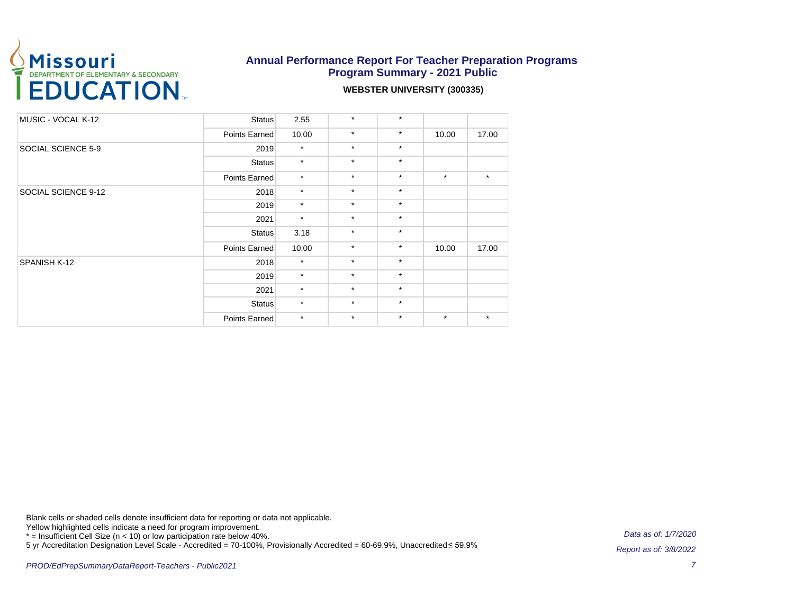

#### **WEBSTER UNIVERSITY (300335)**

| MUSIC - VOCAL K-12  | <b>Status</b> | 2.55    | $\star$ | $\star$ |         |         |
|---------------------|---------------|---------|---------|---------|---------|---------|
|                     | Points Earned | 10.00   | $\star$ | $\star$ | 10.00   | 17.00   |
| SOCIAL SCIENCE 5-9  | 2019          | $\star$ | $\star$ | $\star$ |         |         |
|                     | <b>Status</b> | $\star$ | $\star$ | $\star$ |         |         |
|                     | Points Earned | $\star$ | $\star$ | $\star$ | $\star$ | $\star$ |
| SOCIAL SCIENCE 9-12 | 2018          | $\star$ | $\star$ | $\star$ |         |         |
|                     | 2019          | $\star$ | $\star$ | $\star$ |         |         |
|                     | 2021          | $\star$ | $\star$ | $\star$ |         |         |
|                     | <b>Status</b> | 3.18    | $\star$ | $\star$ |         |         |
|                     | Points Earned | 10.00   | $\star$ | $\star$ | 10.00   | 17.00   |
| SPANISH K-12        | 2018          | $\star$ | $\star$ | $\star$ |         |         |
|                     | 2019          | $\star$ | $\star$ | $\star$ |         |         |
|                     | 2021          | $\star$ | $\star$ | $\star$ |         |         |
|                     | <b>Status</b> | $\star$ | $\star$ | $\star$ |         |         |
|                     | Points Earned | $\star$ | $\star$ | $\star$ | $\star$ | $\star$ |

Blank cells or shaded cells denote insufficient data for reporting or data not applicable.

Yellow highlighted cells indicate a need for program improvement.

\* = Insufficient Cell Size (n < 10) or low participation rate below 40%.

5 yr Accreditation Designation Level Scale - Accredited = 70-100%, Provisionally Accredited = 60-69.9%, Unaccredited ≤ 59.9%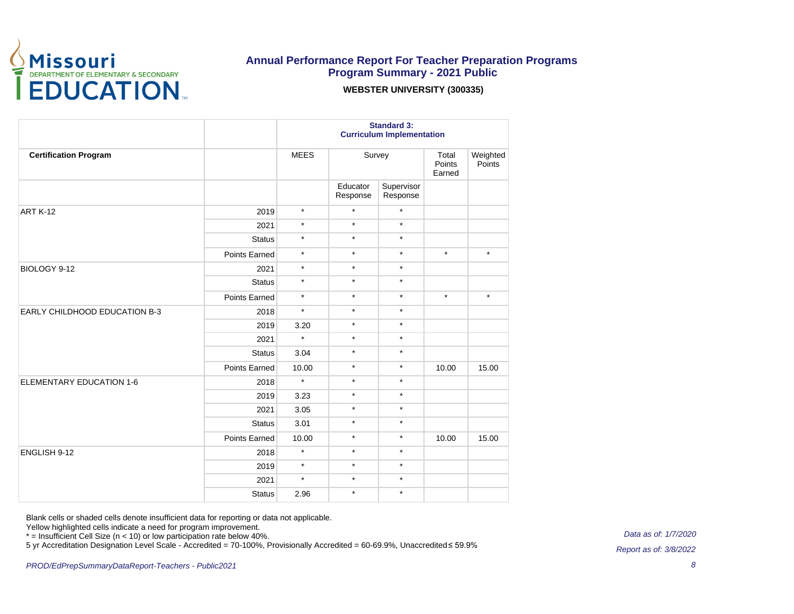

#### **WEBSTER UNIVERSITY (300335)**

|                                 |               |             |                      | <b>Standard 3:</b><br><b>Curriculum Implementation</b> |                           |                    |
|---------------------------------|---------------|-------------|----------------------|--------------------------------------------------------|---------------------------|--------------------|
| <b>Certification Program</b>    |               | <b>MEES</b> |                      | Survey                                                 | Total<br>Points<br>Earned | Weighted<br>Points |
|                                 |               |             | Educator<br>Response | Supervisor<br>Response                                 |                           |                    |
| <b>ART K-12</b>                 | 2019          | $\star$     | $\star$              | $\star$                                                |                           |                    |
|                                 | 2021          | $\star$     | $\star$              | $\star$                                                |                           |                    |
|                                 | <b>Status</b> | $\star$     | $\star$              | $\star$                                                |                           |                    |
|                                 | Points Earned | $\star$     | $\star$              | $\star$                                                | $\star$                   | $\star$            |
| BIOLOGY 9-12                    | 2021          | $\star$     | $\star$              | $\star$                                                |                           |                    |
|                                 | <b>Status</b> | $\star$     | $\star$              | $\star$                                                |                           |                    |
|                                 | Points Earned | $\star$     | $\star$              | $\star$                                                | $\star$                   | $\star$            |
| EARLY CHILDHOOD EDUCATION B-3   | 2018          | $\star$     | $\star$              | $\star$                                                |                           |                    |
|                                 | 2019          | 3.20        | $\star$              | $\star$                                                |                           |                    |
| ENGLISH 9-12                    | 2021          | $\star$     | $\star$              | $\star$                                                |                           |                    |
|                                 | <b>Status</b> | 3.04        | $\star$              | $\star$                                                |                           |                    |
|                                 | Points Earned | 10.00       | $\star$              | $\star$                                                | 10.00                     | 15.00              |
| <b>ELEMENTARY EDUCATION 1-6</b> | 2018          | $\star$     | $\star$              | $\star$                                                |                           |                    |
|                                 | 2019          | 3.23        | $\star$              | $\star$                                                |                           |                    |
|                                 | 2021          | 3.05        | $\star$              | $\star$                                                |                           |                    |
|                                 | <b>Status</b> | 3.01        | $\star$              | $\star$                                                |                           |                    |
|                                 | Points Earned | 10.00       | $\star$              | $\star$                                                | 10.00                     | 15.00              |
|                                 | 2018          | $\star$     | $\star$              | $\star$                                                |                           |                    |
|                                 | 2019          | $\star$     | $\star$              | $\star$                                                |                           |                    |
|                                 | 2021          | $\star$     | $\star$              | $\star$                                                |                           |                    |
|                                 | <b>Status</b> | 2.96        | $\star$              | $\star$                                                |                           |                    |

Blank cells or shaded cells denote insufficient data for reporting or data not applicable.

Yellow highlighted cells indicate a need for program improvement.

\* = Insufficient Cell Size (n < 10) or low participation rate below 40%.

5 yr Accreditation Designation Level Scale - Accredited = 70-100%, Provisionally Accredited = 60-69.9%, Unaccredited ≤ 59.9%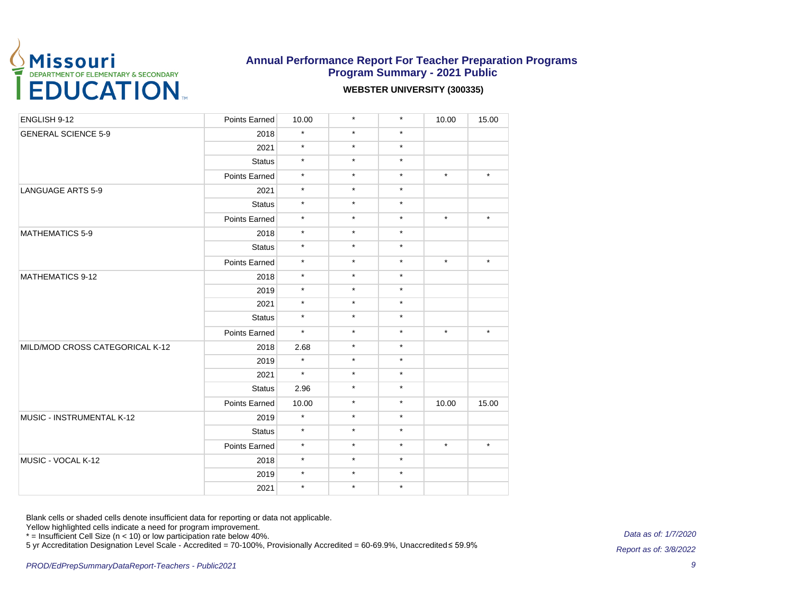

#### **WEBSTER UNIVERSITY (300335)**

| ENGLISH 9-12                    | Points Earned | 10.00   | $\star$ | $\star$ | 10.00                                                        | 15.00   |
|---------------------------------|---------------|---------|---------|---------|--------------------------------------------------------------|---------|
| <b>GENERAL SCIENCE 5-9</b>      | 2018          | $\star$ | $\star$ | $\star$ |                                                              |         |
|                                 | 2021          | $\star$ | $\star$ | $\star$ |                                                              |         |
|                                 | <b>Status</b> | $\star$ | $\star$ | $\star$ |                                                              |         |
|                                 | Points Earned | $\star$ | $\star$ | $\star$ | $\star$<br>$\star$<br>$\star$<br>$\star$<br>10.00<br>$\star$ | $\star$ |
| <b>LANGUAGE ARTS 5-9</b>        | 2021          | $\star$ | $\star$ | $\star$ |                                                              |         |
|                                 | <b>Status</b> | $\star$ | $\star$ | $\star$ |                                                              |         |
|                                 | Points Earned | $\star$ | $\star$ | $\star$ |                                                              | $\star$ |
| <b>MATHEMATICS 5-9</b>          | 2018          | $\star$ | $\star$ | $\star$ |                                                              |         |
|                                 | <b>Status</b> | $\star$ | $\star$ | $\star$ |                                                              |         |
|                                 | Points Earned | $\star$ | $\star$ | $\star$ |                                                              | $\star$ |
| <b>MATHEMATICS 9-12</b>         | 2018          | $\star$ | $\star$ | $\star$ |                                                              |         |
|                                 | 2019          | $\star$ | $\star$ | $\star$ |                                                              |         |
|                                 | 2021          | $\star$ | $\star$ | $\star$ |                                                              |         |
|                                 | <b>Status</b> | $\star$ | $\star$ | $\star$ |                                                              |         |
|                                 | Points Earned | $\star$ | $\star$ | $\star$ |                                                              | $\star$ |
| MILD/MOD CROSS CATEGORICAL K-12 | 2018          | 2.68    | $\star$ | $\star$ |                                                              |         |
|                                 | 2019          | $\star$ | $\star$ | $\star$ |                                                              |         |
|                                 | 2021          | $\star$ | $\star$ | $\star$ |                                                              |         |
|                                 | <b>Status</b> | 2.96    | $\star$ | $\star$ |                                                              |         |
|                                 | Points Earned | 10.00   | $\star$ | $\star$ |                                                              | 15.00   |
| MUSIC - INSTRUMENTAL K-12       | 2019          | $\star$ | $\star$ | $\star$ |                                                              |         |
|                                 | <b>Status</b> | $\star$ | $\star$ | $\star$ |                                                              |         |
|                                 | Points Earned | $\star$ | $\star$ | $\star$ |                                                              | $\star$ |
| MUSIC - VOCAL K-12              | 2018          | $\star$ | $\star$ | $\star$ |                                                              |         |
|                                 | 2019          | $\star$ | $\star$ | $\star$ |                                                              |         |
|                                 | 2021          | $\star$ | $\star$ | $\star$ |                                                              |         |

Blank cells or shaded cells denote insufficient data for reporting or data not applicable.

Yellow highlighted cells indicate a need for program improvement.

\* = Insufficient Cell Size (n < 10) or low participation rate below 40%.

5 yr Accreditation Designation Level Scale - Accredited = 70-100%, Provisionally Accredited = 60-69.9%, Unaccredited ≤ 59.9%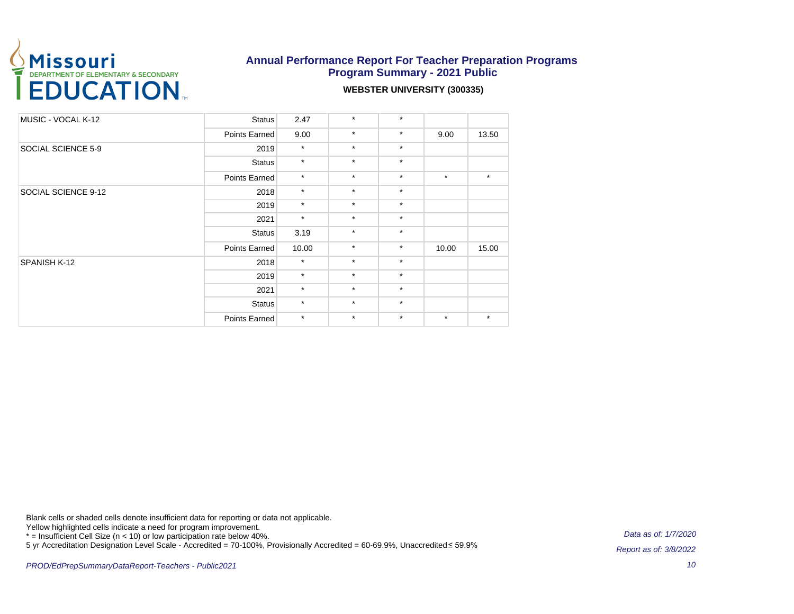

#### **WEBSTER UNIVERSITY (300335)**

| MUSIC - VOCAL K-12  | <b>Status</b> | 2.47    | $\star$ | $\star$ |         |         |
|---------------------|---------------|---------|---------|---------|---------|---------|
|                     | Points Earned | 9.00    | $\star$ | $\star$ | 9.00    | 13.50   |
| SOCIAL SCIENCE 5-9  | 2019          | $\star$ | $\star$ | $\star$ |         |         |
|                     | <b>Status</b> | $\star$ | $\star$ | $\star$ |         |         |
|                     | Points Earned | $\star$ | $\star$ | $\star$ | $\star$ | $\star$ |
| SOCIAL SCIENCE 9-12 | 2018          | $\star$ | $\star$ | $\star$ |         |         |
|                     | 2019          | $\star$ | $\star$ | $\star$ |         |         |
|                     | 2021          | $\star$ | $\star$ | $\star$ |         |         |
|                     | <b>Status</b> | 3.19    | $\star$ | $\star$ |         |         |
|                     | Points Earned | 10.00   | $\star$ | $\star$ | 10.00   | 15.00   |
| SPANISH K-12        | 2018          | $\star$ | $\star$ | $\star$ |         |         |
|                     | 2019          | $\star$ | $\star$ | $\star$ |         |         |
|                     | 2021          | $\star$ | $\star$ | $\star$ |         |         |
|                     | <b>Status</b> | $\star$ | $\star$ | $\star$ |         |         |
|                     | Points Earned | $\star$ | $\star$ | $\star$ | $\star$ | $\star$ |

Blank cells or shaded cells denote insufficient data for reporting or data not applicable.

Yellow highlighted cells indicate a need for program improvement.

\* = Insufficient Cell Size (n < 10) or low participation rate below 40%.

5 yr Accreditation Designation Level Scale - Accredited = 70-100%, Provisionally Accredited = 60-69.9%, Unaccredited ≤ 59.9%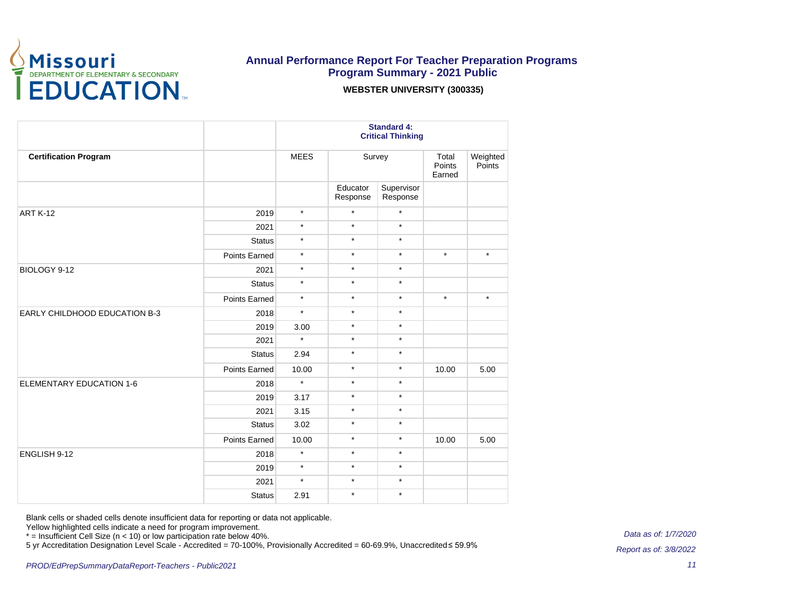

#### **WEBSTER UNIVERSITY (300335)**

|                                 |                                                                                                                                                                                                                                                                                                                                                           |             |                      | <b>Standard 4:</b><br><b>Critical Thinking</b> |         |                    |
|---------------------------------|-----------------------------------------------------------------------------------------------------------------------------------------------------------------------------------------------------------------------------------------------------------------------------------------------------------------------------------------------------------|-------------|----------------------|------------------------------------------------|---------|--------------------|
| <b>Certification Program</b>    |                                                                                                                                                                                                                                                                                                                                                           | <b>MEES</b> |                      | Survey                                         |         | Weighted<br>Points |
|                                 |                                                                                                                                                                                                                                                                                                                                                           |             | Educator<br>Response | Supervisor<br>Response                         |         |                    |
| ART K-12                        | 2019                                                                                                                                                                                                                                                                                                                                                      | $\star$     | $\star$              | $\star$                                        |         |                    |
|                                 | 2021                                                                                                                                                                                                                                                                                                                                                      | $\star$     | $\star$              | $\star$                                        |         |                    |
|                                 | <b>Status</b>                                                                                                                                                                                                                                                                                                                                             | $\star$     | $\star$              | $\star$                                        |         |                    |
|                                 | Points Earned                                                                                                                                                                                                                                                                                                                                             | $\star$     | $\star$              | $\star$                                        | $\star$ | $\star$            |
| BIOLOGY 9-12                    | 2021                                                                                                                                                                                                                                                                                                                                                      | $\star$     | $\star$              | $\star$                                        |         |                    |
|                                 | <b>Status</b>                                                                                                                                                                                                                                                                                                                                             | $\star$     | $\star$              | $\star$                                        |         |                    |
|                                 | Points Earned                                                                                                                                                                                                                                                                                                                                             | $\star$     | $\star$              | $\star$                                        | $\star$ | $\star$            |
| EARLY CHILDHOOD EDUCATION B-3   | 2018                                                                                                                                                                                                                                                                                                                                                      | $\star$     | $\star$              | $\star$                                        |         |                    |
|                                 | 2019                                                                                                                                                                                                                                                                                                                                                      | 3.00        | $\star$              | $\star$                                        |         |                    |
|                                 | 2021                                                                                                                                                                                                                                                                                                                                                      | $\star$     | $\star$              | $\star$                                        |         |                    |
|                                 | <b>Status</b>                                                                                                                                                                                                                                                                                                                                             | 2.94        | $\star$              | $\star$                                        |         |                    |
|                                 | Points Earned                                                                                                                                                                                                                                                                                                                                             | 10.00       | $\star$              | $\star$                                        | 10.00   | 5.00               |
| <b>ELEMENTARY EDUCATION 1-6</b> | $\star$<br>$\star$<br>$\star$<br>2018<br>$\star$<br>3.17<br>2019<br>$\star$<br>$\star$<br>2021<br>3.15<br>$\star$<br>$\star$<br>3.02<br><b>Status</b><br>$\star$<br>Points Earned<br>10.00<br>$\star$<br>$\star$<br>$\star$<br>2018<br>$\star$<br>$\star$<br>2019<br>$\star$<br>$\star$<br>$\star$<br>2021<br>$\star$<br>$\star$<br><b>Status</b><br>2.91 |             |                      |                                                |         |                    |
|                                 |                                                                                                                                                                                                                                                                                                                                                           |             |                      | $\star$                                        |         |                    |
|                                 |                                                                                                                                                                                                                                                                                                                                                           |             |                      |                                                |         |                    |
|                                 |                                                                                                                                                                                                                                                                                                                                                           |             |                      |                                                |         |                    |
|                                 |                                                                                                                                                                                                                                                                                                                                                           |             |                      | $\star$                                        | 10.00   | 5.00               |
| ENGLISH 9-12                    |                                                                                                                                                                                                                                                                                                                                                           |             |                      |                                                |         |                    |
|                                 |                                                                                                                                                                                                                                                                                                                                                           |             |                      | $\star$                                        |         |                    |
|                                 |                                                                                                                                                                                                                                                                                                                                                           |             |                      |                                                |         |                    |
|                                 |                                                                                                                                                                                                                                                                                                                                                           |             |                      |                                                |         |                    |

Blank cells or shaded cells denote insufficient data for reporting or data not applicable.

Yellow highlighted cells indicate a need for program improvement.

\* = Insufficient Cell Size (n < 10) or low participation rate below 40%.

5 yr Accreditation Designation Level Scale - Accredited = 70-100%, Provisionally Accredited = 60-69.9%, Unaccredited ≤ 59.9%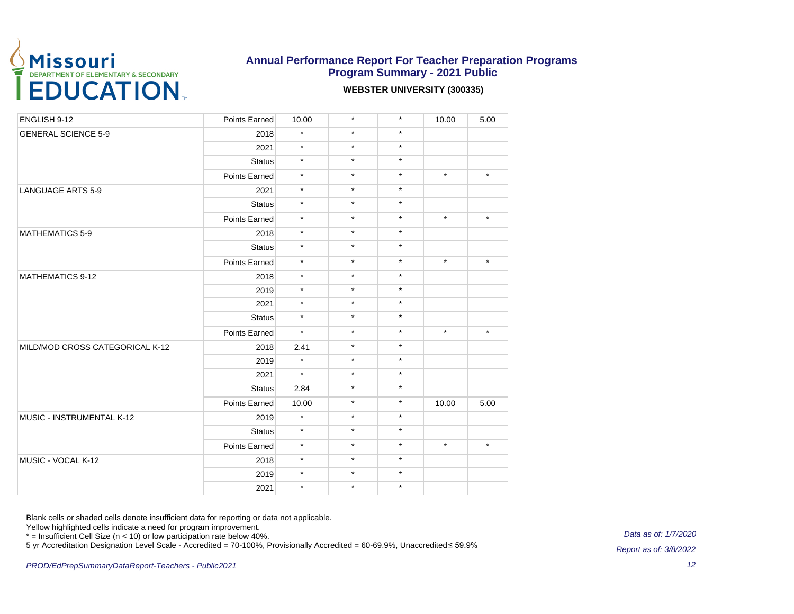

#### **WEBSTER UNIVERSITY (300335)**

| ENGLISH 9-12                    | Points Earned | 10.00   | $\star$ | $\star$ | 10.00                                                        | 5.00    |
|---------------------------------|---------------|---------|---------|---------|--------------------------------------------------------------|---------|
| <b>GENERAL SCIENCE 5-9</b>      | 2018          | $\star$ | $\star$ | $\star$ |                                                              |         |
|                                 | 2021          | $\star$ | $\star$ | $\star$ |                                                              |         |
|                                 | <b>Status</b> | $\star$ | $\star$ | $\star$ |                                                              |         |
|                                 | Points Earned | $\star$ | $\star$ | $\star$ | $\star$<br>$\star$<br>$\star$<br>$\star$<br>10.00<br>$\star$ | $\star$ |
| <b>LANGUAGE ARTS 5-9</b>        | 2021          | $\star$ | $\star$ | $\star$ |                                                              |         |
|                                 | <b>Status</b> | $\star$ | $\star$ | $\star$ |                                                              |         |
|                                 | Points Earned | $\star$ | $\star$ | $\star$ |                                                              | $\star$ |
| <b>MATHEMATICS 5-9</b>          | 2018          | $\star$ | $\star$ | $\star$ |                                                              |         |
|                                 | <b>Status</b> | $\star$ | $\star$ | $\star$ |                                                              |         |
|                                 | Points Earned | $\star$ | $\star$ | $\star$ |                                                              | $\star$ |
| <b>MATHEMATICS 9-12</b>         | 2018          | $\star$ | $\star$ | $\star$ |                                                              |         |
|                                 | 2019          | $\star$ | $\star$ | $\star$ |                                                              |         |
|                                 | 2021          | $\star$ | $\star$ | $\star$ |                                                              |         |
|                                 | <b>Status</b> | $\star$ | $\star$ | $\star$ |                                                              |         |
|                                 | Points Earned | $\star$ | $\star$ | $\star$ |                                                              | $\star$ |
| MILD/MOD CROSS CATEGORICAL K-12 | 2018          | 2.41    | $\star$ | $\star$ |                                                              |         |
|                                 | 2019          | $\star$ | $\star$ | $\star$ |                                                              |         |
|                                 | 2021          | $\star$ | $\star$ | $\star$ |                                                              |         |
|                                 | <b>Status</b> | 2.84    | $\star$ | $\star$ |                                                              |         |
|                                 | Points Earned | 10.00   | $\star$ | $\star$ |                                                              | 5.00    |
| MUSIC - INSTRUMENTAL K-12       | 2019          | $\star$ | $\star$ | $\star$ |                                                              |         |
|                                 | <b>Status</b> | $\star$ | $\star$ | $\star$ |                                                              |         |
|                                 | Points Earned | $\star$ | $\star$ | $\star$ |                                                              | $\star$ |
| MUSIC - VOCAL K-12              | 2018          | $\star$ | $\star$ | $\star$ |                                                              |         |
|                                 | 2019          | $\star$ | $\star$ | $\star$ |                                                              |         |
|                                 | 2021          | $\star$ | $\star$ | $\star$ |                                                              |         |

Blank cells or shaded cells denote insufficient data for reporting or data not applicable.

Yellow highlighted cells indicate a need for program improvement.

\* = Insufficient Cell Size (n < 10) or low participation rate below 40%.

5 yr Accreditation Designation Level Scale - Accredited = 70-100%, Provisionally Accredited = 60-69.9%, Unaccredited ≤ 59.9%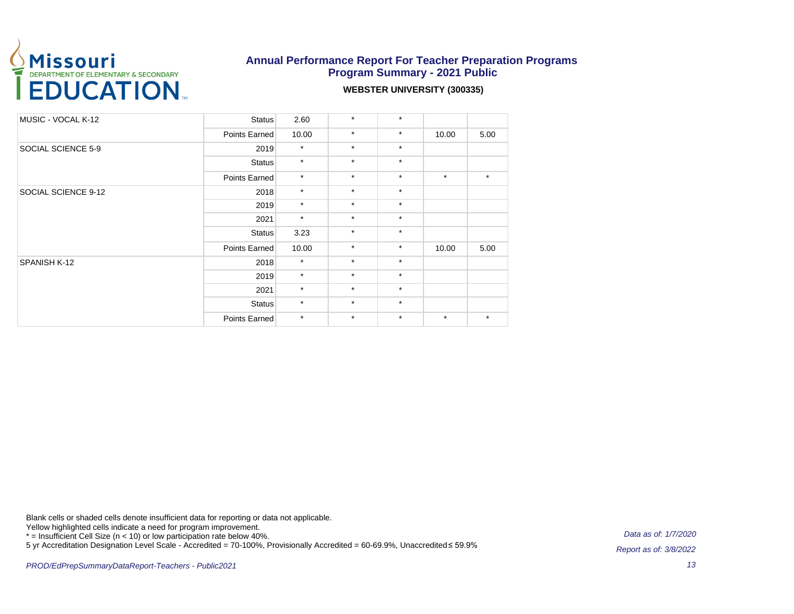

#### **WEBSTER UNIVERSITY (300335)**

| MUSIC - VOCAL K-12  | <b>Status</b> | 2.60    | $\star$ | $\star$ |         |         |
|---------------------|---------------|---------|---------|---------|---------|---------|
|                     | Points Earned | 10.00   | $\star$ | $\star$ | 10.00   | 5.00    |
| SOCIAL SCIENCE 5-9  | 2019          | $\star$ | $\star$ | $\star$ |         |         |
|                     | <b>Status</b> | $\star$ | $\star$ | $\star$ |         |         |
|                     | Points Earned | $\star$ | $\star$ | $\star$ | $\star$ | $\star$ |
| SOCIAL SCIENCE 9-12 | 2018          | $\star$ | $\star$ | $\star$ |         |         |
|                     | 2019          | $\star$ | $\star$ | $\star$ |         |         |
|                     | 2021          | $\star$ | $\star$ | $\star$ |         |         |
|                     | <b>Status</b> | 3.23    | $\star$ | $\star$ |         |         |
|                     | Points Earned | 10.00   | $\star$ | $\star$ | 10.00   | 5.00    |
| SPANISH K-12        | 2018          | $\star$ | $\star$ | $\star$ |         |         |
|                     | 2019          | $\star$ | $\star$ | $\star$ |         |         |
|                     | 2021          | $\star$ | $\star$ | $\star$ |         |         |
|                     | <b>Status</b> | $\star$ | $\star$ | $\star$ |         |         |
|                     | Points Earned | $\star$ | $\star$ | $\star$ | $\star$ | $\star$ |

Blank cells or shaded cells denote insufficient data for reporting or data not applicable.

Yellow highlighted cells indicate a need for program improvement.

\* = Insufficient Cell Size (n < 10) or low participation rate below 40%.

5 yr Accreditation Designation Level Scale - Accredited = 70-100%, Provisionally Accredited = 60-69.9%, Unaccredited ≤ 59.9%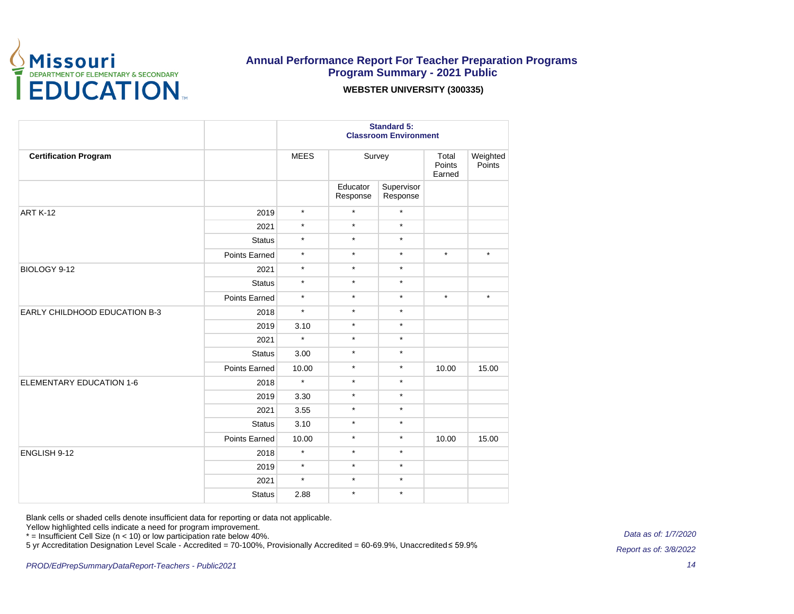

#### **WEBSTER UNIVERSITY (300335)**

|                                 |               | <b>Standard 5:</b><br><b>Classroom Environment</b> |                      |                        |                           |                    |
|---------------------------------|---------------|----------------------------------------------------|----------------------|------------------------|---------------------------|--------------------|
| <b>Certification Program</b>    |               | <b>MEES</b>                                        | Survey               |                        | Total<br>Points<br>Earned | Weighted<br>Points |
|                                 |               |                                                    | Educator<br>Response | Supervisor<br>Response |                           |                    |
| <b>ART K-12</b>                 | 2019          | $\star$                                            | $\star$              | $\star$                |                           |                    |
|                                 | 2021          | $\star$                                            | $\star$              | $\star$                |                           |                    |
|                                 | <b>Status</b> | $\star$                                            | $^\star$             | $\star$                |                           |                    |
|                                 | Points Earned | $\star$                                            | $\star$              | $\star$                | $\star$                   | $\star$            |
| BIOLOGY 9-12                    | 2021          | $\star$                                            | $\star$              | $\star$                |                           |                    |
|                                 | <b>Status</b> | $\star$                                            | $\star$              | $\star$                |                           |                    |
|                                 | Points Earned | $\star$                                            | $\star$              | $\star$                | $\star$                   | $\star$            |
| EARLY CHILDHOOD EDUCATION B-3   | 2018          | $\star$                                            | $\star$              | $\star$                |                           |                    |
|                                 | 2019          | 3.10                                               | $\star$              | $\star$                |                           |                    |
|                                 | 2021          | $\star$                                            | $\star$              | $\star$                |                           |                    |
|                                 | <b>Status</b> | 3.00                                               | $\star$              | $\star$                |                           |                    |
|                                 | Points Earned | 10.00                                              | $\star$              | $\star$                | 10.00                     | 15.00              |
| <b>ELEMENTARY EDUCATION 1-6</b> | 2018          | $\star$                                            | $\star$              | $\star$                |                           |                    |
|                                 | 2019          | 3.30                                               | $\star$              | $\star$                |                           |                    |
|                                 | 2021          | 3.55                                               | $^\star$             | $\star$                |                           |                    |
|                                 | <b>Status</b> | 3.10                                               | $\star$              | $\star$                |                           |                    |
|                                 | Points Earned | 10.00                                              | $\star$              | $\star$                | 10.00                     | 15.00              |
| ENGLISH 9-12                    | 2018          | $\star$                                            | $\star$              | $\star$                |                           |                    |
|                                 | 2019          | $\star$                                            | $\star$              | $\star$                |                           |                    |
|                                 | 2021          | $\star$                                            | $\star$              | $\star$                |                           |                    |
|                                 | <b>Status</b> | 2.88                                               | $\star$              | $\star$                |                           |                    |

Blank cells or shaded cells denote insufficient data for reporting or data not applicable.

Yellow highlighted cells indicate a need for program improvement.

\* = Insufficient Cell Size (n < 10) or low participation rate below 40%.

5 yr Accreditation Designation Level Scale - Accredited = 70-100%, Provisionally Accredited = 60-69.9%, Unaccredited ≤ 59.9%

Data as of: 1/7/2020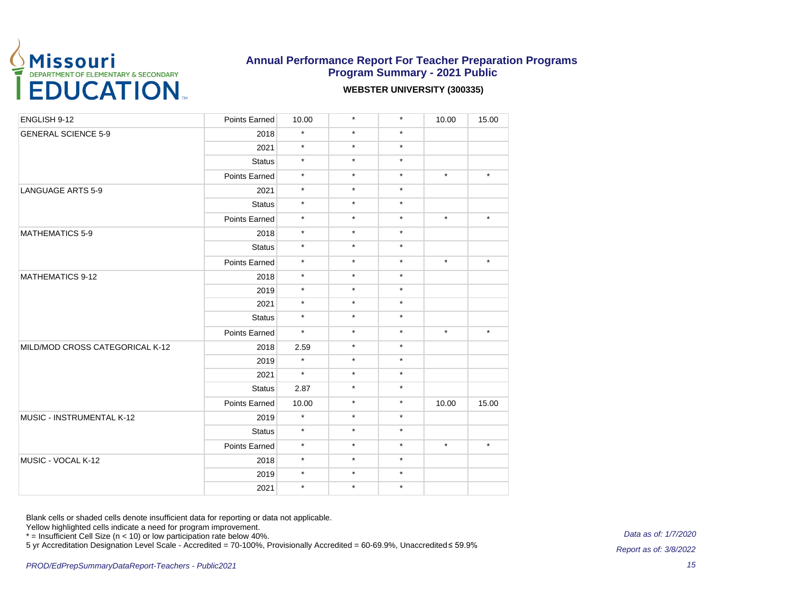

#### **WEBSTER UNIVERSITY (300335)**

| ENGLISH 9-12                    | Points Earned | 10.00    | $\star$ | $\star$ | 10.00   | 15.00   |
|---------------------------------|---------------|----------|---------|---------|---------|---------|
| <b>GENERAL SCIENCE 5-9</b>      | 2018          | $\star$  | $\star$ | $\star$ |         |         |
|                                 | 2021          | $\star$  | $\star$ | $\star$ |         |         |
|                                 | <b>Status</b> | $\star$  | $\star$ | $\star$ |         |         |
|                                 | Points Earned | $\star$  | $\star$ | $\star$ | $\star$ | $\star$ |
| <b>LANGUAGE ARTS 5-9</b>        | 2021          | $\star$  | $\star$ | $\star$ |         |         |
|                                 | <b>Status</b> | $\star$  | $\star$ | $\star$ |         |         |
|                                 | Points Earned | $\star$  | $\star$ | $\star$ | $\star$ | $\star$ |
| <b>MATHEMATICS 5-9</b>          | 2018          | $\star$  | $\star$ | $\star$ |         |         |
|                                 | <b>Status</b> | $\star$  | $\star$ | $\star$ |         |         |
|                                 | Points Earned | $\star$  | $\star$ | $\star$ | $\star$ | $\star$ |
| <b>MATHEMATICS 9-12</b>         | 2018          | $\star$  | $\star$ | $\star$ |         |         |
|                                 | 2019          | $\star$  | $\star$ | $\star$ |         |         |
|                                 | 2021          | $\star$  | $\star$ | $\star$ |         |         |
|                                 | <b>Status</b> | $^\star$ | $\star$ | $\star$ |         |         |
|                                 | Points Earned | $\star$  | $\star$ | $\star$ | $\star$ | $\star$ |
| MILD/MOD CROSS CATEGORICAL K-12 | 2018          | 2.59     | $\star$ | $\star$ |         |         |
|                                 | 2019          | $\star$  | $\star$ | $\star$ |         |         |
|                                 | 2021          | $\star$  | $\star$ | $\star$ |         |         |
|                                 | <b>Status</b> | 2.87     | $\star$ | $\star$ |         |         |
|                                 | Points Earned | 10.00    | $\star$ | $\star$ | 10.00   | 15.00   |
| MUSIC - INSTRUMENTAL K-12       | 2019          | $\star$  | $\star$ | $\star$ |         |         |
|                                 | <b>Status</b> | $\star$  | $\star$ | $\star$ |         |         |
|                                 | Points Earned | $\star$  | $\star$ | $\star$ | $\star$ | $\star$ |
| MUSIC - VOCAL K-12              | 2018          | $\star$  | $\star$ | $\star$ |         |         |
|                                 | 2019          | $\star$  | $\star$ | $\star$ |         |         |
|                                 | 2021          | $\star$  | $\star$ | $\star$ |         |         |

Blank cells or shaded cells denote insufficient data for reporting or data not applicable.

Yellow highlighted cells indicate a need for program improvement.

\* = Insufficient Cell Size (n < 10) or low participation rate below 40%.

5 yr Accreditation Designation Level Scale - Accredited = 70-100%, Provisionally Accredited = 60-69.9%, Unaccredited ≤ 59.9%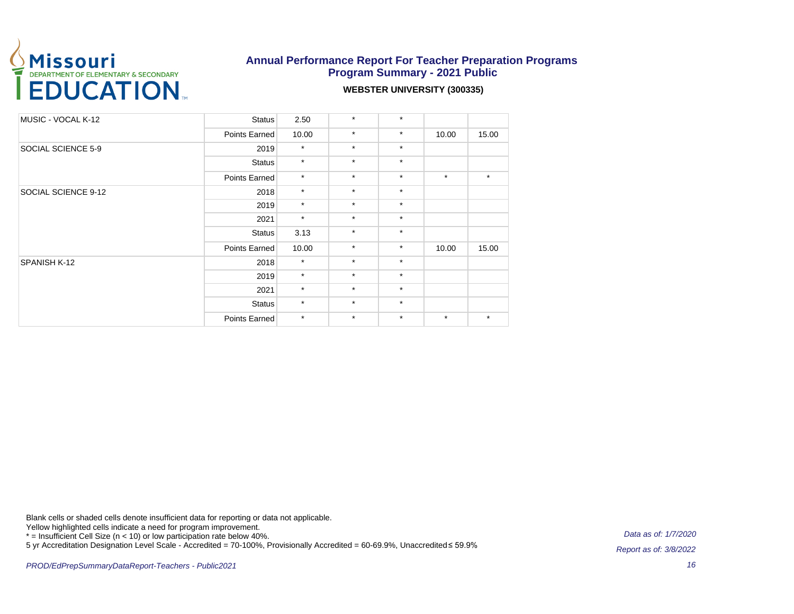

#### **WEBSTER UNIVERSITY (300335)**

| MUSIC - VOCAL K-12  | <b>Status</b> | 2.50    | $\star$ | $\star$ |         |         |
|---------------------|---------------|---------|---------|---------|---------|---------|
|                     | Points Earned | 10.00   | $\star$ | $\star$ | 10.00   | 15.00   |
| SOCIAL SCIENCE 5-9  | 2019          | $\star$ | $\star$ | $\star$ |         |         |
|                     | <b>Status</b> | $\star$ | $\star$ | $\star$ |         |         |
|                     | Points Earned | $\star$ | $\star$ | $\star$ | $\star$ | $\star$ |
| SOCIAL SCIENCE 9-12 | 2018          | $\star$ | $\star$ | $\star$ |         |         |
|                     | 2019          | $\star$ | $\star$ | $\star$ |         |         |
|                     | 2021          | $\star$ | $\star$ | $\star$ |         |         |
|                     | <b>Status</b> | 3.13    | $\star$ | $\star$ |         |         |
|                     | Points Earned | 10.00   | $\star$ | $\star$ | 10.00   | 15.00   |
| SPANISH K-12        | 2018          | $\star$ | $\star$ | $\star$ |         |         |
|                     | 2019          | $\star$ | $\star$ | $\star$ |         |         |
|                     | 2021          | $\star$ | $\star$ | $\star$ |         |         |
|                     | <b>Status</b> | $\star$ | $\star$ | $\star$ |         |         |
|                     | Points Earned | $\star$ | $\star$ | $\star$ | $\star$ | $\star$ |

Blank cells or shaded cells denote insufficient data for reporting or data not applicable.

Yellow highlighted cells indicate a need for program improvement.

\* = Insufficient Cell Size (n < 10) or low participation rate below 40%.

5 yr Accreditation Designation Level Scale - Accredited = 70-100%, Provisionally Accredited = 60-69.9%, Unaccredited ≤ 59.9%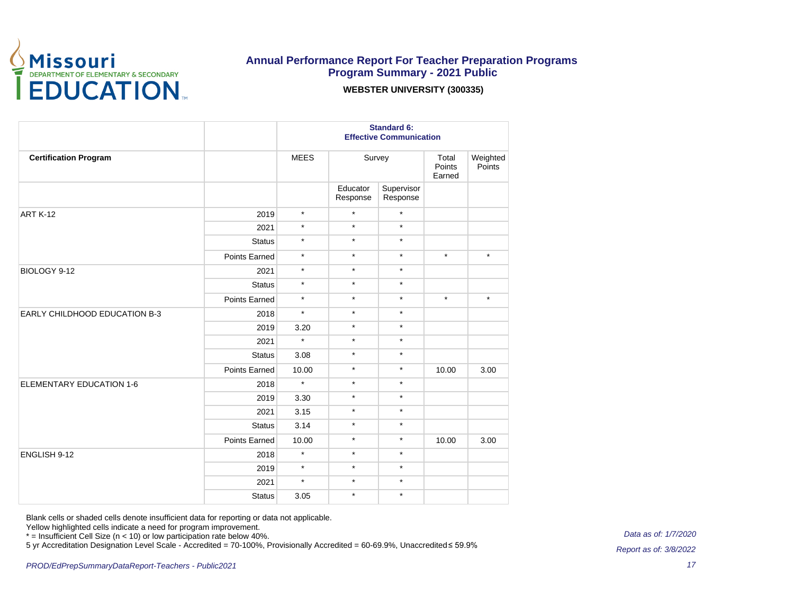

#### **WEBSTER UNIVERSITY (300335)**

|                                      |               | <b>Standard 6:</b><br><b>Effective Communication</b> |                      |                        |                           |                    |  |
|--------------------------------------|---------------|------------------------------------------------------|----------------------|------------------------|---------------------------|--------------------|--|
| <b>Certification Program</b>         |               | <b>MEES</b>                                          |                      | Survey                 | Total<br>Points<br>Earned | Weighted<br>Points |  |
|                                      |               |                                                      | Educator<br>Response | Supervisor<br>Response |                           |                    |  |
| <b>ART K-12</b>                      | 2019          | $\star$                                              | $\star$              | $\star$                |                           |                    |  |
|                                      | 2021          | $\star$                                              | $\star$              | $\star$                |                           |                    |  |
|                                      | <b>Status</b> | $\star$                                              | $\star$              | $\star$                |                           |                    |  |
|                                      | Points Earned | $\star$                                              | $\star$              | $\star$                | $\star$                   | $\star$            |  |
| BIOLOGY 9-12                         | 2021          | $\star$                                              | $\star$              | $\star$                |                           |                    |  |
|                                      | <b>Status</b> | $\star$                                              | $\star$              | $\star$                |                           |                    |  |
|                                      | Points Earned | $\star$                                              | $\star$              | $\star$                | $^\star$                  | $\star$            |  |
| <b>EARLY CHILDHOOD EDUCATION B-3</b> | 2018          | $\star$                                              | $\star$              | $\star$                |                           |                    |  |
|                                      | 2019          | 3.20                                                 | $\star$              | $\star$                |                           |                    |  |
|                                      | 2021          | $\star$                                              | $\star$              | $\star$                |                           |                    |  |
|                                      | <b>Status</b> | 3.08                                                 | $\star$              | $\star$                |                           |                    |  |
|                                      | Points Earned | 10.00                                                | $\star$              | $\star$                | 10.00                     | 3.00               |  |
| <b>ELEMENTARY EDUCATION 1-6</b>      | 2018          | $\star$                                              | $\star$              | $\star$                |                           |                    |  |
|                                      | 2019          | 3.30                                                 | $\star$              | $\star$                |                           |                    |  |
|                                      | 2021          | 3.15                                                 | $\star$              | $\star$                |                           |                    |  |
|                                      | <b>Status</b> | 3.14                                                 | $\star$              | $\star$                |                           |                    |  |
|                                      | Points Earned | 10.00                                                | $\star$              | $\star$                | 10.00                     | 3.00               |  |
| ENGLISH 9-12                         | 2018          | $\star$                                              | $\star$              | $\star$                |                           |                    |  |
|                                      | 2019          | $\star$                                              | $\star$              | $\star$                |                           |                    |  |
|                                      | 2021          | $\star$                                              | $\star$              | $\star$                |                           |                    |  |
|                                      | <b>Status</b> | 3.05                                                 | $\star$              | $\star$                |                           |                    |  |

Blank cells or shaded cells denote insufficient data for reporting or data not applicable.

Yellow highlighted cells indicate a need for program improvement.

\* = Insufficient Cell Size (n < 10) or low participation rate below 40%.

5 yr Accreditation Designation Level Scale - Accredited = 70-100%, Provisionally Accredited = 60-69.9%, Unaccredited ≤ 59.9%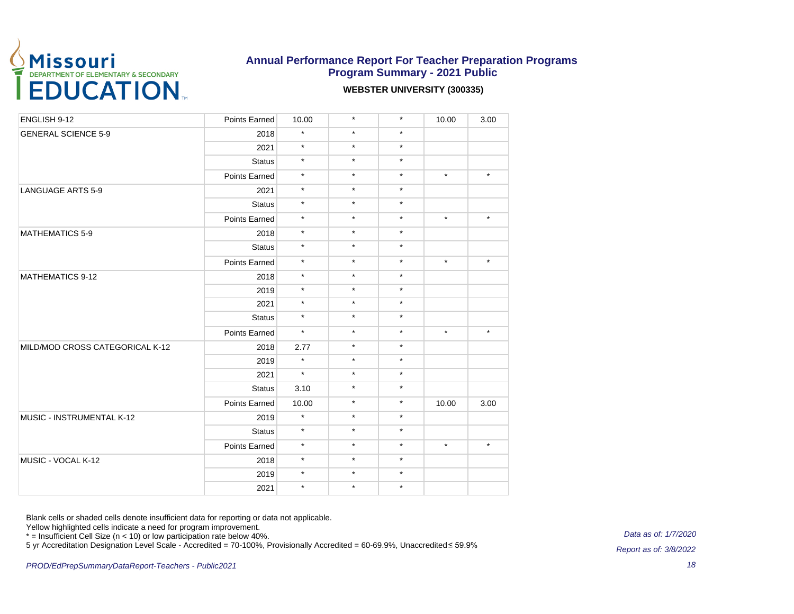

#### **WEBSTER UNIVERSITY (300335)**

| ENGLISH 9-12                    | Points Earned | 10.00   | $\star$ | $\star$ | 10.00   | 3.00    |
|---------------------------------|---------------|---------|---------|---------|---------|---------|
| <b>GENERAL SCIENCE 5-9</b>      | 2018          | $\star$ | $\star$ | $\star$ |         |         |
|                                 | 2021          | $\star$ | $\star$ | $\star$ |         |         |
|                                 | <b>Status</b> | $\star$ | $\star$ | $\star$ |         |         |
|                                 | Points Earned | $\star$ | $\star$ | $\star$ | $\star$ | $\star$ |
| <b>LANGUAGE ARTS 5-9</b>        | 2021          | $\star$ | $\star$ | $\star$ |         |         |
|                                 | <b>Status</b> | $\star$ | $\star$ | $\star$ |         |         |
|                                 | Points Earned | $\star$ | $\star$ | $\star$ | $\star$ | $\star$ |
| <b>MATHEMATICS 5-9</b>          | 2018          | $\star$ | $\star$ | $\star$ |         |         |
|                                 | <b>Status</b> | $\star$ | $\star$ | $\star$ |         |         |
|                                 | Points Earned | $\star$ | $\star$ | $\star$ | $\star$ | $\star$ |
| <b>MATHEMATICS 9-12</b>         | 2018          | $\star$ | $\star$ | $\star$ |         |         |
|                                 | 2019          | $\star$ | $\star$ | $\star$ |         |         |
|                                 | 2021          | $\star$ | $\star$ | $\star$ |         |         |
|                                 | <b>Status</b> | $\star$ | $\star$ | $\star$ |         |         |
|                                 | Points Earned | $\star$ | $\star$ | $\star$ | $\star$ | $\star$ |
| MILD/MOD CROSS CATEGORICAL K-12 | 2018          | 2.77    | $\star$ | $\star$ |         |         |
|                                 | 2019          | $\star$ | $\star$ | $\star$ |         |         |
|                                 | 2021          | $\star$ | $\star$ | $\star$ |         |         |
|                                 | <b>Status</b> | 3.10    | $\star$ | $\star$ |         |         |
|                                 | Points Earned | 10.00   | $\star$ | $\star$ | 10.00   | 3.00    |
| MUSIC - INSTRUMENTAL K-12       | 2019          | $\star$ | $\star$ | $\star$ |         |         |
|                                 | <b>Status</b> | $\star$ | $\star$ | $\star$ |         |         |
|                                 | Points Earned | $\star$ | $\star$ | $\star$ | $\star$ | $\star$ |
| MUSIC - VOCAL K-12              | 2018          | $\star$ | $\star$ | $\star$ |         |         |
|                                 | 2019          | $\star$ | $\star$ | $\star$ |         |         |
|                                 | 2021          | $\star$ | $\star$ | $\star$ |         |         |

Blank cells or shaded cells denote insufficient data for reporting or data not applicable.

Yellow highlighted cells indicate a need for program improvement.

\* = Insufficient Cell Size (n < 10) or low participation rate below 40%.

5 yr Accreditation Designation Level Scale - Accredited = 70-100%, Provisionally Accredited = 60-69.9%, Unaccredited ≤ 59.9%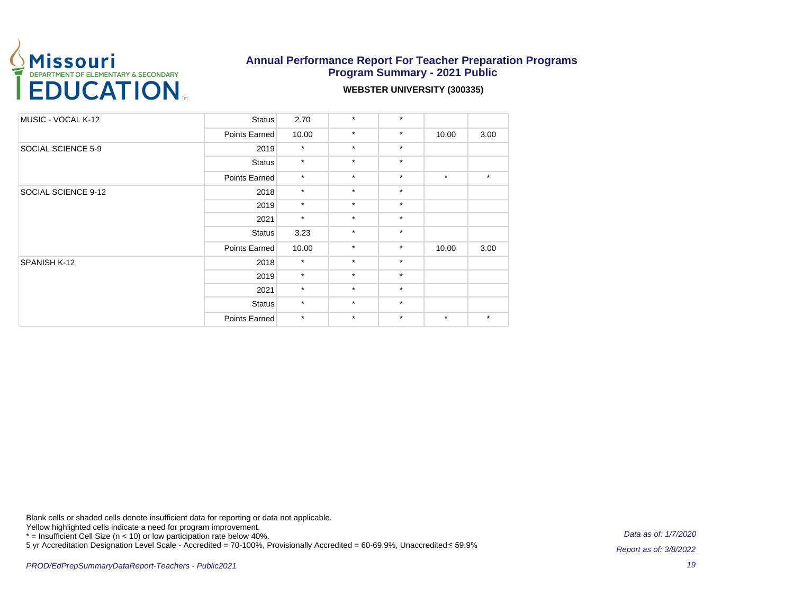

#### **WEBSTER UNIVERSITY (300335)**

| MUSIC - VOCAL K-12  | <b>Status</b> | 2.70    | $\star$ | $\star$ |         |         |
|---------------------|---------------|---------|---------|---------|---------|---------|
|                     | Points Earned | 10.00   | $\star$ | $\star$ | 10.00   | 3.00    |
| SOCIAL SCIENCE 5-9  | 2019          | $\star$ | $\star$ | $\star$ |         |         |
|                     | <b>Status</b> | $\star$ | $\star$ | $\star$ |         |         |
|                     | Points Earned | $\star$ | $\star$ | $\star$ | $\star$ | $\star$ |
| SOCIAL SCIENCE 9-12 | 2018          | $\star$ | $\star$ | $\star$ |         |         |
|                     | 2019          | $\star$ | $\star$ | $\star$ |         |         |
|                     | 2021          | $\star$ | $\star$ | $\star$ |         |         |
|                     | <b>Status</b> | 3.23    | $\star$ | $\star$ |         |         |
|                     | Points Earned | 10.00   | $\star$ | $\star$ | 10.00   | 3.00    |
| SPANISH K-12        | 2018          | $\star$ | $\star$ | $\star$ |         |         |
|                     | 2019          | $\star$ | $\star$ | $\star$ |         |         |
|                     | 2021          | $\star$ | $\star$ | $\star$ |         |         |
|                     | <b>Status</b> | $\star$ | $\star$ | $\star$ |         |         |
|                     | Points Earned | $\star$ | $\star$ | $\star$ | $\star$ | $\star$ |

Blank cells or shaded cells denote insufficient data for reporting or data not applicable.

Yellow highlighted cells indicate a need for program improvement.

\* = Insufficient Cell Size (n < 10) or low participation rate below 40%.

5 yr Accreditation Designation Level Scale - Accredited = 70-100%, Provisionally Accredited = 60-69.9%, Unaccredited ≤ 59.9%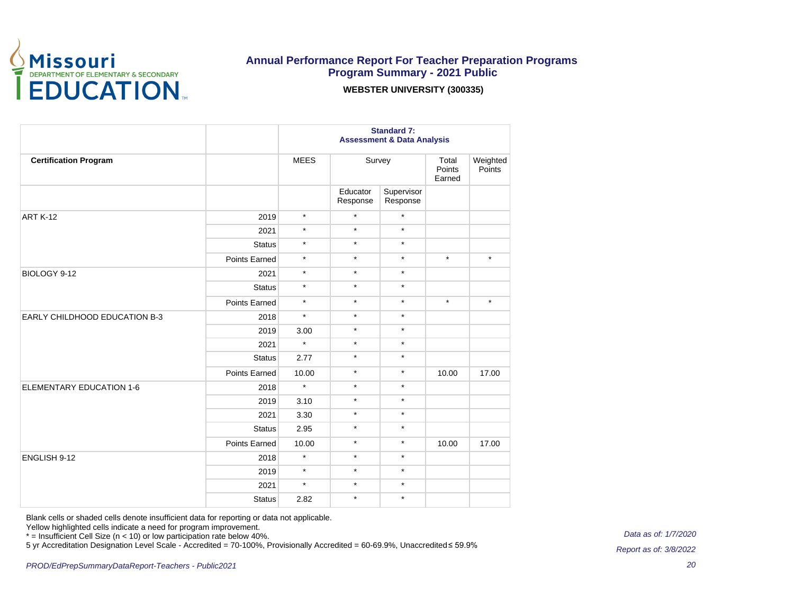

### **Annual Performance Report For Teacher Preparation Programs Program Summary - 2021 Public WEBSTER UNIVERSITY (300335)**

|                               |               | <b>Standard 7:</b><br><b>Assessment &amp; Data Analysis</b> |                      |                        |         |                    |  |
|-------------------------------|---------------|-------------------------------------------------------------|----------------------|------------------------|---------|--------------------|--|
| <b>Certification Program</b>  |               | <b>MEES</b>                                                 |                      | Survey                 |         | Weighted<br>Points |  |
|                               |               |                                                             | Educator<br>Response | Supervisor<br>Response |         |                    |  |
| <b>ART K-12</b>               | 2019          | $\star$                                                     | $\star$              | $\star$                |         |                    |  |
|                               | 2021          | $\star$                                                     | $\star$              | $\star$                |         |                    |  |
|                               | <b>Status</b> | $\star$                                                     | $\star$              | $\star$                |         |                    |  |
|                               | Points Earned | $\star$                                                     | $\star$              | $\star$                | $\star$ | $\star$            |  |
| BIOLOGY 9-12                  | 2021          | $\star$                                                     | $\star$              | $\star$                |         |                    |  |
|                               | <b>Status</b> | $\star$                                                     | $\star$              | $\star$                |         |                    |  |
|                               | Points Earned | $\star$                                                     | $\star$              | $\star$                | $\star$ | $\star$            |  |
| EARLY CHILDHOOD EDUCATION B-3 | 2018          | $\star$                                                     | $\star$              | $\star$                |         |                    |  |
|                               | 2019          | 3.00                                                        | $\star$              | $\star$                |         |                    |  |
|                               | 2021          | $\star$                                                     | $\star$              | $\star$                |         |                    |  |
|                               | <b>Status</b> | 2.77                                                        | $\star$              | $\star$                |         |                    |  |
|                               | Points Earned | 10.00                                                       | $\star$              | $\star$                | 10.00   | 17.00              |  |
| ELEMENTARY EDUCATION 1-6      | 2018          | $\star$                                                     | $\star$              | $\star$                |         |                    |  |
|                               | 2019          | 3.10                                                        | $\star$              | $\star$                |         |                    |  |
|                               | 2021          | 3.30                                                        | $\star$              | $\star$                |         |                    |  |
|                               | <b>Status</b> | 2.95                                                        | $\star$              | $\star$                |         |                    |  |
|                               | Points Earned | 10.00                                                       | $\star$              | $\star$                | 10.00   | 17.00              |  |
| ENGLISH 9-12                  | 2018          | $\star$                                                     | $\star$              | $\star$                |         |                    |  |
|                               | 2019          | $\star$                                                     | $\star$              | $\star$                |         |                    |  |
|                               | 2021          | $\star$                                                     | $\star$              | $\star$                |         |                    |  |
|                               | <b>Status</b> | 2.82                                                        | $\star$              | $\star$                |         |                    |  |

Blank cells or shaded cells denote insufficient data for reporting or data not applicable.

Yellow highlighted cells indicate a need for program improvement.

\* = Insufficient Cell Size (n < 10) or low participation rate below 40%.

5 yr Accreditation Designation Level Scale - Accredited = 70-100%, Provisionally Accredited = 60-69.9%, Unaccredited ≤ 59.9%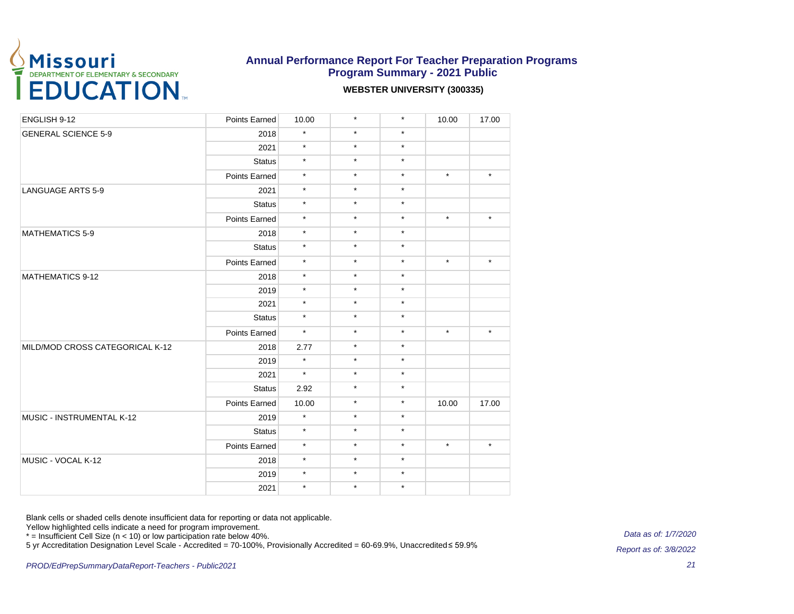

#### **WEBSTER UNIVERSITY (300335)**

| ENGLISH 9-12                    | Points Earned | 10.00    | $\star$ | $\star$ | 10.00   | 17.00   |
|---------------------------------|---------------|----------|---------|---------|---------|---------|
| <b>GENERAL SCIENCE 5-9</b>      | 2018          | $\star$  | $\star$ | $\star$ |         |         |
|                                 | 2021          | $\star$  | $\star$ | $\star$ |         |         |
|                                 | <b>Status</b> | $\star$  | $\star$ | $\star$ |         |         |
|                                 | Points Earned | $\star$  | $\star$ | $\star$ | $\star$ | $\star$ |
| <b>LANGUAGE ARTS 5-9</b>        | 2021          | $\star$  | $\star$ | $\star$ |         |         |
|                                 | <b>Status</b> | $\star$  | $\star$ | $\star$ |         |         |
|                                 | Points Earned | $\star$  | $\star$ | $\star$ | $\star$ | $\star$ |
| <b>MATHEMATICS 5-9</b>          | 2018          | $\star$  | $\star$ | $\star$ |         |         |
|                                 | <b>Status</b> | $\star$  | $\star$ | $\star$ |         |         |
|                                 | Points Earned | $\star$  | $\star$ | $\star$ | $\star$ | $\star$ |
| <b>MATHEMATICS 9-12</b>         | 2018          | $\star$  | $\star$ | $\star$ |         |         |
|                                 | 2019          | $\star$  | $\star$ | $\star$ |         |         |
|                                 | 2021          | $\star$  | $\star$ | $\star$ |         |         |
|                                 | <b>Status</b> | $\star$  | $\star$ | $\star$ |         |         |
|                                 | Points Earned | $\star$  | $\star$ | $\star$ | $\star$ | $\star$ |
| MILD/MOD CROSS CATEGORICAL K-12 | 2018          | 2.77     | $\star$ | $\star$ |         |         |
|                                 | 2019          | $^\star$ | $\star$ | $\star$ |         |         |
|                                 | 2021          | $\star$  | $\star$ | $\star$ |         |         |
|                                 | <b>Status</b> | 2.92     | $\star$ | $\star$ |         |         |
|                                 | Points Earned | 10.00    | $\star$ | $\star$ | 10.00   | 17.00   |
| MUSIC - INSTRUMENTAL K-12       | 2019          | $\star$  | $\star$ | $\star$ |         |         |
|                                 | <b>Status</b> | $\star$  | $\star$ | $\star$ |         |         |
|                                 | Points Earned | $\star$  | $\star$ | $\star$ | $\star$ | $\star$ |
| MUSIC - VOCAL K-12              | 2018          | $\star$  | $\star$ | $\star$ |         |         |
|                                 | 2019          | $\star$  | $\star$ | $\star$ |         |         |
|                                 | 2021          | $^\star$ | $\star$ | $\star$ |         |         |

Blank cells or shaded cells denote insufficient data for reporting or data not applicable.

Yellow highlighted cells indicate a need for program improvement.

\* = Insufficient Cell Size (n < 10) or low participation rate below 40%.

5 yr Accreditation Designation Level Scale - Accredited = 70-100%, Provisionally Accredited = 60-69.9%, Unaccredited ≤ 59.9%

Data as of: 1/7/2020 Report as of: 3/8/2022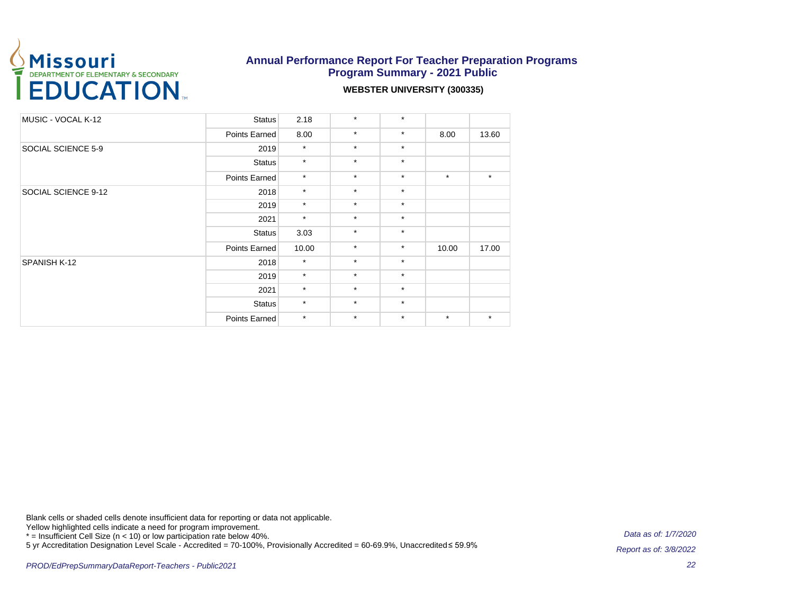

#### **WEBSTER UNIVERSITY (300335)**

| MUSIC - VOCAL K-12  | <b>Status</b> | 2.18    | $\star$ | $\star$ |         |         |
|---------------------|---------------|---------|---------|---------|---------|---------|
|                     | Points Earned | 8.00    | $\star$ | $\star$ | 8.00    | 13.60   |
| SOCIAL SCIENCE 5-9  | 2019          | $\star$ | $\star$ | $\star$ |         |         |
|                     | <b>Status</b> | $\star$ | $\star$ | $\star$ |         |         |
|                     | Points Earned | $\star$ | $\star$ | $\star$ | $\star$ | $\star$ |
| SOCIAL SCIENCE 9-12 | 2018          | $\star$ | $\star$ | $\star$ |         |         |
|                     | 2019          | $\star$ | $\star$ | $\star$ |         |         |
|                     | 2021          | $\star$ | $\star$ | $\star$ |         |         |
|                     | <b>Status</b> | 3.03    | $\star$ | $\star$ |         |         |
|                     | Points Earned | 10.00   | $\star$ | $\star$ | 10.00   | 17.00   |
| SPANISH K-12        | 2018          | $\star$ | $\star$ | $\star$ |         |         |
|                     | 2019          | $\star$ | $\star$ | $\star$ |         |         |
|                     | 2021          | $\star$ | $\star$ | $\star$ |         |         |
|                     | <b>Status</b> | $\star$ | $\star$ | $\star$ |         |         |
|                     | Points Earned | $\star$ | $\star$ | $\star$ | $\star$ | $\star$ |

Blank cells or shaded cells denote insufficient data for reporting or data not applicable.

Yellow highlighted cells indicate a need for program improvement.

\* = Insufficient Cell Size (n < 10) or low participation rate below 40%.

5 yr Accreditation Designation Level Scale - Accredited = 70-100%, Provisionally Accredited = 60-69.9%, Unaccredited ≤ 59.9%

Data as of: 1/7/2020 Report as of: 3/8/2022

22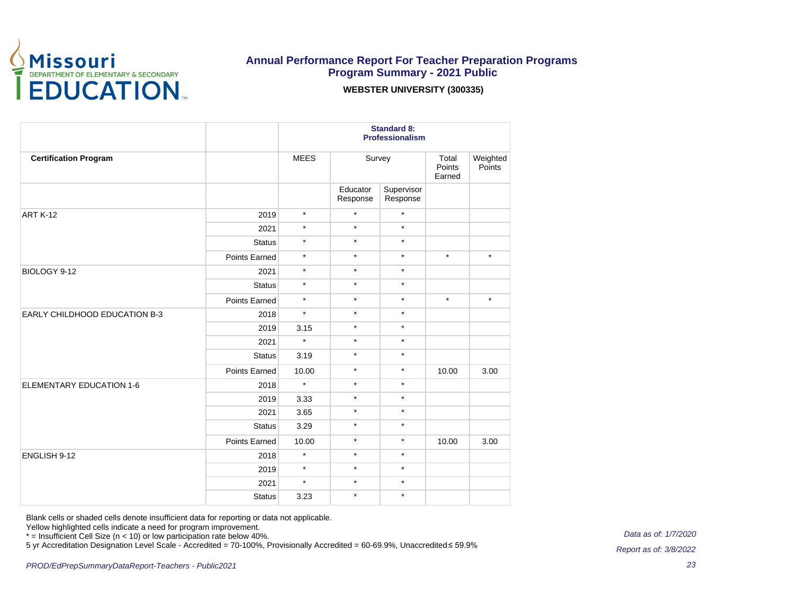

**WEBSTER UNIVERSITY (300335)**

|                               |               | <b>Standard 8:</b><br><b>Professionalism</b> |                      |                        |                           |                    |  |
|-------------------------------|---------------|----------------------------------------------|----------------------|------------------------|---------------------------|--------------------|--|
| <b>Certification Program</b>  |               | <b>MEES</b>                                  | Survey               |                        | Total<br>Points<br>Earned | Weighted<br>Points |  |
|                               |               |                                              | Educator<br>Response | Supervisor<br>Response |                           |                    |  |
| <b>ART K-12</b>               | 2019          | $\star$                                      | $\star$              | $\star$                |                           |                    |  |
|                               | 2021          | $\star$                                      | $\star$              | $\star$                |                           |                    |  |
|                               | <b>Status</b> | $\star$                                      | $\star$              | $\star$                |                           |                    |  |
|                               | Points Earned | $\star$                                      | $\star$              | $\star$                | $\star$                   | $\star$            |  |
| BIOLOGY 9-12                  | 2021          | $\star$                                      | $\star$              | $\star$                |                           |                    |  |
|                               | <b>Status</b> | $\star$                                      | $\star$              | $\star$                |                           |                    |  |
|                               | Points Earned | $\star$                                      | $\star$              | $\star$                | $\star$                   | $\star$            |  |
| EARLY CHILDHOOD EDUCATION B-3 | 2018          | $\star$                                      | $\star$              | $\star$                |                           |                    |  |
|                               | 2019          | 3.15                                         | $\star$              | $\star$                |                           |                    |  |
|                               | 2021          | $\star$                                      | $\star$              | $\star$                |                           |                    |  |
|                               | <b>Status</b> | 3.19                                         | $\star$              | $\star$                |                           |                    |  |
|                               | Points Earned | 10.00                                        | $\star$              | $\star$                | 10.00                     | 3.00               |  |
| ELEMENTARY EDUCATION 1-6      | 2018          | $\star$                                      | $\star$              | $\star$                |                           |                    |  |
|                               | 2019          | 3.33                                         | $\star$              | $\star$                |                           |                    |  |
|                               | 2021          | 3.65                                         | $\star$              | $\star$                |                           |                    |  |
|                               | <b>Status</b> | 3.29                                         | $\star$              | $\star$                |                           |                    |  |
|                               | Points Earned | 10.00                                        | $\star$              | $\star$                | 10.00                     | 3.00               |  |
| ENGLISH 9-12                  | 2018          | $\star$                                      | $\star$              | $\star$                |                           |                    |  |
|                               | 2019          | $\star$                                      | $\star$              | $\star$                |                           |                    |  |
|                               | 2021          | $\star$                                      | $\star$              | $\star$                |                           |                    |  |
|                               | <b>Status</b> | 3.23                                         | $\star$              | $\star$                |                           |                    |  |

Blank cells or shaded cells denote insufficient data for reporting or data not applicable.

Yellow highlighted cells indicate a need for program improvement.

\* = Insufficient Cell Size (n < 10) or low participation rate below 40%.

5 yr Accreditation Designation Level Scale - Accredited = 70-100%, Provisionally Accredited = 60-69.9%, Unaccredited ≤ 59.9%

Data as of: 1/7/2020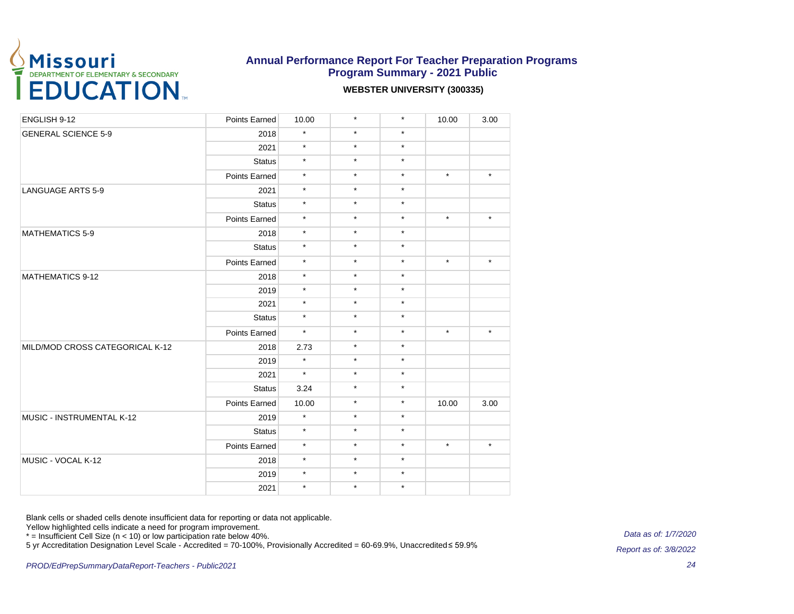

#### **WEBSTER UNIVERSITY (300335)**

| ENGLISH 9-12                    | Points Earned | 10.00   | $\star$ | $\star$ | 10.00   | 3.00    |
|---------------------------------|---------------|---------|---------|---------|---------|---------|
| <b>GENERAL SCIENCE 5-9</b>      | 2018          | $\star$ | $\star$ | $\star$ |         |         |
|                                 | 2021          | $\star$ | $\star$ | $\star$ |         |         |
|                                 | <b>Status</b> | $\star$ | $\star$ | $\star$ |         |         |
|                                 | Points Earned | $\star$ | $\star$ | $\star$ | $\star$ | $\star$ |
| <b>LANGUAGE ARTS 5-9</b>        | 2021          | $\star$ | $\star$ | $\star$ |         |         |
|                                 | <b>Status</b> | $\star$ | $\star$ | $\star$ |         |         |
|                                 | Points Earned | $\star$ | $\star$ | $\star$ | $\star$ | $\star$ |
| <b>MATHEMATICS 5-9</b>          | 2018          | $\star$ | $\star$ | $\star$ |         |         |
|                                 | <b>Status</b> | $\star$ | $\star$ | $\star$ |         |         |
|                                 | Points Earned | $\star$ | $\star$ | $\star$ | $\star$ | $\star$ |
| <b>MATHEMATICS 9-12</b>         | 2018          | $\star$ | $\star$ | $\star$ |         |         |
|                                 | 2019          | $\star$ | $\star$ | $\star$ |         |         |
|                                 | 2021          | $\star$ | $\star$ | $\star$ |         |         |
|                                 | <b>Status</b> | $\star$ | $\star$ | $\star$ |         |         |
|                                 | Points Earned | $\star$ | $\star$ | $\star$ | $\star$ | $\star$ |
| MILD/MOD CROSS CATEGORICAL K-12 | 2018          | 2.73    | $\star$ | $\star$ |         |         |
|                                 | 2019          | $\star$ | $\star$ | $\star$ |         |         |
|                                 | 2021          | $\star$ | $\star$ | $\star$ |         |         |
|                                 | <b>Status</b> | 3.24    | $\star$ | $\star$ |         |         |
|                                 | Points Earned | 10.00   | $\star$ | $\star$ | 10.00   | 3.00    |
| MUSIC - INSTRUMENTAL K-12       | 2019          | $\star$ | $\star$ | $\star$ |         |         |
|                                 | <b>Status</b> | $\star$ | $\star$ | $\star$ |         |         |
|                                 | Points Earned | $\star$ | $\star$ | $\star$ | $\star$ | $\star$ |
| MUSIC - VOCAL K-12              | 2018          | $\star$ | $\star$ | $\star$ |         |         |
|                                 | 2019          | $\star$ | $\star$ | $\star$ |         |         |
|                                 | 2021          | $\star$ | $\star$ | $\star$ |         |         |

Blank cells or shaded cells denote insufficient data for reporting or data not applicable.

Yellow highlighted cells indicate a need for program improvement.

\* = Insufficient Cell Size (n < 10) or low participation rate below 40%.

5 yr Accreditation Designation Level Scale - Accredited = 70-100%, Provisionally Accredited = 60-69.9%, Unaccredited ≤ 59.9%

Data as of: 1/7/2020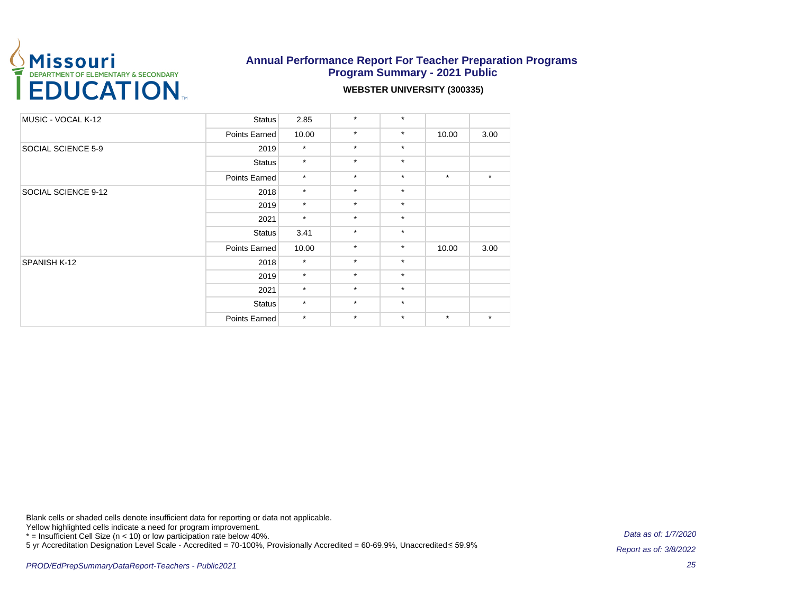

#### **WEBSTER UNIVERSITY (300335)**

| MUSIC - VOCAL K-12  | <b>Status</b> | 2.85    | $\star$ | $\star$ |         |         |
|---------------------|---------------|---------|---------|---------|---------|---------|
|                     | Points Earned | 10.00   | $\star$ | $\star$ | 10.00   | 3.00    |
| SOCIAL SCIENCE 5-9  | 2019          | $\star$ | $\star$ | $\star$ |         |         |
|                     | <b>Status</b> | $\star$ | $\star$ | $\star$ |         |         |
|                     | Points Earned | $\star$ | $\star$ | $\star$ | $\star$ | $\star$ |
| SOCIAL SCIENCE 9-12 | 2018          | $\star$ | $\star$ | $\star$ |         |         |
|                     | 2019          | $\star$ | $\star$ | $\star$ |         |         |
|                     | 2021          | $\star$ | $\star$ | $\star$ |         |         |
|                     | <b>Status</b> | 3.41    | $\star$ | $\star$ |         |         |
|                     | Points Earned | 10.00   | $\star$ | $\star$ | 10.00   | 3.00    |
| SPANISH K-12        | 2018          | $\star$ | $\star$ | $\star$ |         |         |
|                     | 2019          | $\star$ | $\star$ | $\star$ |         |         |
|                     | 2021          | $\star$ | $\star$ | $\star$ |         |         |
|                     | <b>Status</b> | $\star$ | $\star$ | $\star$ |         |         |
|                     | Points Earned | $\star$ | $\star$ | $\star$ | $\star$ | $\star$ |

Blank cells or shaded cells denote insufficient data for reporting or data not applicable.

Yellow highlighted cells indicate a need for program improvement.

\* = Insufficient Cell Size (n < 10) or low participation rate below 40%.

5 yr Accreditation Designation Level Scale - Accredited = 70-100%, Provisionally Accredited = 60-69.9%, Unaccredited ≤ 59.9%

Data as of: 1/7/2020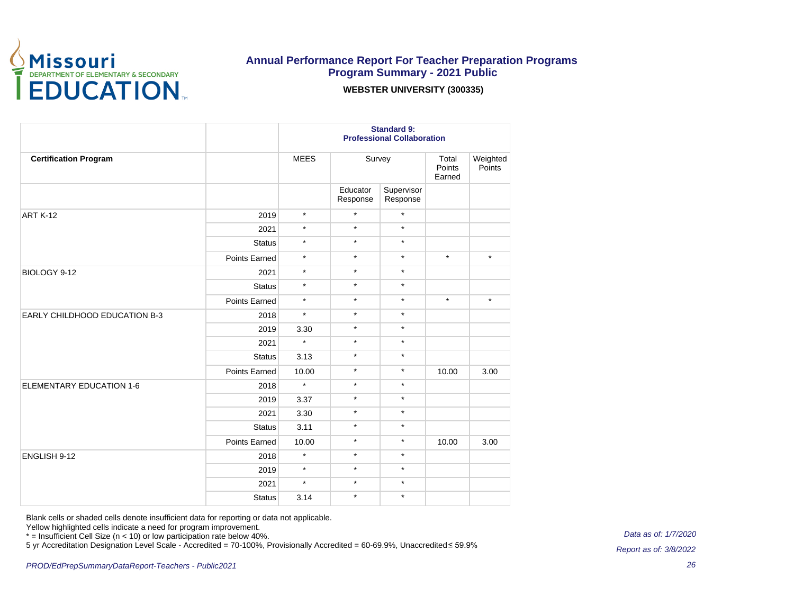

**WEBSTER UNIVERSITY (300335)**

|                               |               | <b>Standard 9:</b><br><b>Professional Collaboration</b> |                      |                        |                           |                    |
|-------------------------------|---------------|---------------------------------------------------------|----------------------|------------------------|---------------------------|--------------------|
| <b>Certification Program</b>  |               | <b>MEES</b>                                             | Survey               |                        | Total<br>Points<br>Earned | Weighted<br>Points |
|                               |               |                                                         | Educator<br>Response | Supervisor<br>Response |                           |                    |
| <b>ART K-12</b>               | 2019          | $\star$                                                 | $\star$              | $\star$                |                           |                    |
|                               | 2021          | $\star$                                                 | $\star$              | $\star$                |                           |                    |
|                               | <b>Status</b> | $\star$                                                 | $\star$              | $\star$                |                           |                    |
|                               | Points Earned | $\star$                                                 | $\star$              | $\star$                | $\star$                   | $\star$            |
| BIOLOGY 9-12                  | 2021          | $\star$                                                 | $\star$              | $\star$                |                           |                    |
|                               | <b>Status</b> | $\star$                                                 | $\star$              | $\star$                |                           |                    |
|                               | Points Earned | $\star$                                                 | $\star$              | $\star$                | $\star$                   | $\star$            |
| EARLY CHILDHOOD EDUCATION B-3 | 2018          | $\star$                                                 | $\star$              | $\star$                |                           |                    |
|                               | 2019          | 3.30                                                    | $\star$              | $\star$                |                           |                    |
|                               | 2021          | $\star$                                                 | $\star$              | $\star$                |                           |                    |
|                               | <b>Status</b> | 3.13                                                    | $\star$              | $\star$                |                           |                    |
|                               | Points Earned | 10.00                                                   | $\star$              | $\star$                | 10.00                     | 3.00               |
| ELEMENTARY EDUCATION 1-6      | 2018          | $\star$                                                 | $\star$              | $\star$                |                           |                    |
|                               | 2019          | 3.37                                                    | $\star$              | $\star$                |                           |                    |
|                               | 2021          | 3.30                                                    | $\star$              | $\star$                |                           |                    |
|                               | <b>Status</b> | 3.11                                                    | $\star$              | $\star$                |                           |                    |
|                               | Points Earned | 10.00                                                   | $\star$              | $\star$                | 10.00                     | 3.00               |
| ENGLISH 9-12                  | 2018          | $\star$                                                 | $\star$              | $\star$                |                           |                    |
|                               | 2019          | $\star$                                                 | $\star$              | $\star$                |                           |                    |
|                               | 2021          | $\star$                                                 | $\star$              | $\star$                |                           |                    |
|                               | <b>Status</b> | 3.14                                                    | $\star$              | $\star$                |                           |                    |

Blank cells or shaded cells denote insufficient data for reporting or data not applicable.

Yellow highlighted cells indicate a need for program improvement.

\* = Insufficient Cell Size (n < 10) or low participation rate below 40%.

5 yr Accreditation Designation Level Scale - Accredited = 70-100%, Provisionally Accredited = 60-69.9%, Unaccredited ≤ 59.9%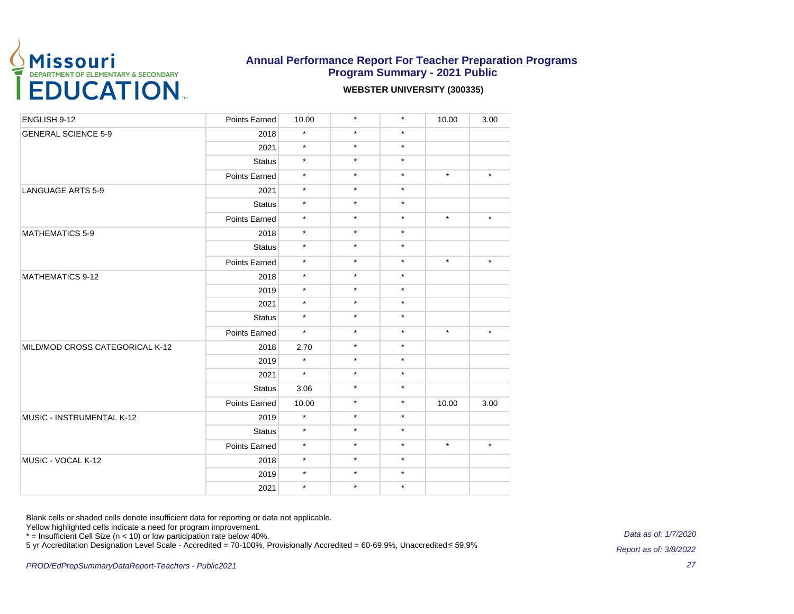

#### **WEBSTER UNIVERSITY (300335)**

| ENGLISH 9-12                    | Points Earned | 10.00   | $\star$ | $\star$ | 10.00   | 3.00    |
|---------------------------------|---------------|---------|---------|---------|---------|---------|
| <b>GENERAL SCIENCE 5-9</b>      | 2018          | $\star$ | $\star$ | $\star$ |         |         |
|                                 | 2021          | $\star$ | $\star$ | $\star$ |         |         |
|                                 | <b>Status</b> | $\star$ | $\star$ | $\star$ |         |         |
|                                 | Points Earned | $\star$ | $\star$ | $\star$ | $\star$ | $\star$ |
| <b>LANGUAGE ARTS 5-9</b>        | 2021          | $\star$ | $\star$ | $\star$ |         |         |
|                                 | <b>Status</b> | $\star$ | $\star$ | $\star$ |         |         |
|                                 | Points Earned | $\star$ | $\star$ | $\star$ | $\star$ | $\star$ |
| <b>MATHEMATICS 5-9</b>          | 2018          | $\star$ | $\star$ | $\star$ |         |         |
|                                 | <b>Status</b> | $\star$ | $\star$ | $\star$ |         |         |
|                                 | Points Earned | $\star$ | $\star$ | $\star$ | $\star$ | $\star$ |
| <b>MATHEMATICS 9-12</b>         | 2018          | $\star$ | $\star$ | $\star$ |         |         |
|                                 | 2019          | $\star$ | $\star$ | $\star$ |         |         |
|                                 | 2021          | $\star$ | $\star$ | $\star$ |         |         |
|                                 | <b>Status</b> | $\star$ | $\star$ | $\star$ |         |         |
|                                 | Points Earned | $\star$ | $\star$ | $\star$ | $\star$ | $\star$ |
| MILD/MOD CROSS CATEGORICAL K-12 | 2018          | 2.70    | $\star$ | $\star$ |         |         |
|                                 | 2019          | $\star$ | $\star$ | $\star$ |         |         |
|                                 | 2021          | $\star$ | $\star$ | $\star$ |         |         |
|                                 | <b>Status</b> | 3.06    | $\star$ | $\star$ |         |         |
|                                 | Points Earned | 10.00   | $\star$ | $\star$ | 10.00   | 3.00    |
| MUSIC - INSTRUMENTAL K-12       | 2019          | $\star$ | $\star$ | $\star$ |         |         |
|                                 | <b>Status</b> | $\star$ | $\star$ | $\star$ |         |         |
|                                 | Points Earned | $\star$ | $\star$ | $\star$ | $\star$ | $\star$ |
| MUSIC - VOCAL K-12              | 2018          | $\star$ | $\star$ | $\star$ |         |         |
|                                 | 2019          | $\star$ | $\star$ | $\star$ |         |         |
|                                 | 2021          | $\star$ | $\star$ | $\star$ |         |         |

Blank cells or shaded cells denote insufficient data for reporting or data not applicable.

Yellow highlighted cells indicate a need for program improvement.

\* = Insufficient Cell Size (n < 10) or low participation rate below 40%.

5 yr Accreditation Designation Level Scale - Accredited = 70-100%, Provisionally Accredited = 60-69.9%, Unaccredited ≤ 59.9%

Data as of: 1/7/2020 Report as of: 3/8/2022